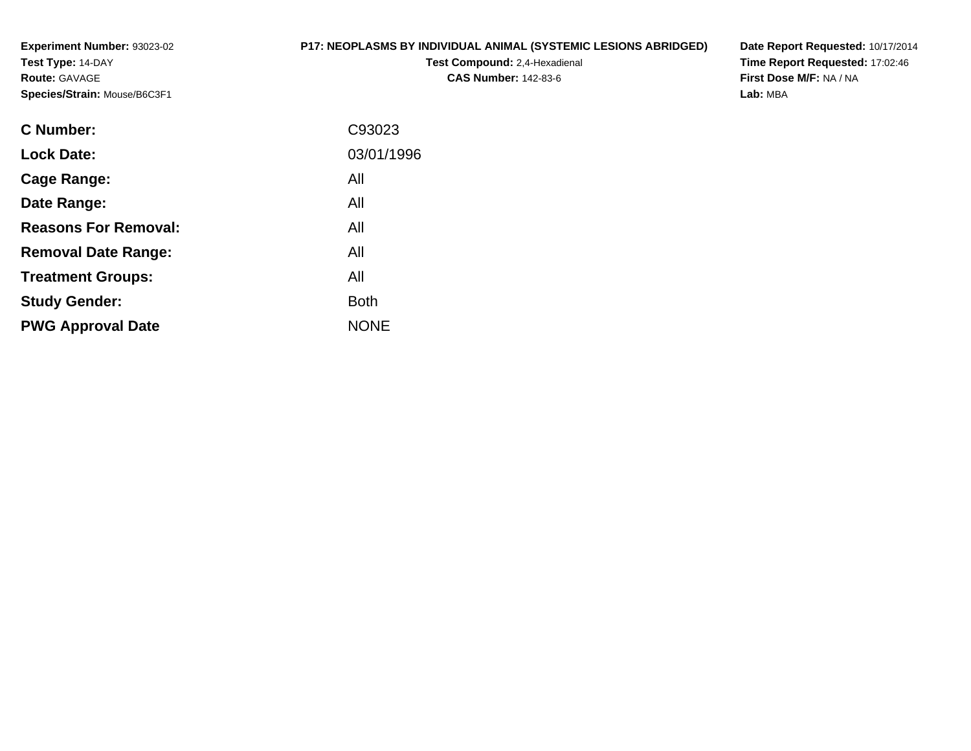**Experiment Number:** 93023-02**Test Type:** 14-DAY**Route:** GAVAGE**Species/Strain:** Mouse/B6C3F1

# **P17: NEOPLASMS BY INDIVIDUAL ANIMAL (SYSTEMIC LESIONS ABRIDGED)**

**Test Compound:** 2,4-Hexadienal **CAS Number:** 142-83-6

**Date Report Requested:** 10/17/2014 **Time Report Requested:** 17:02:46**First Dose M/F:** NA / NA**Lab:** MBA

| <b>C</b> Number:            | C93023      |
|-----------------------------|-------------|
| <b>Lock Date:</b>           | 03/01/1996  |
| Cage Range:                 | All         |
| Date Range:                 | All         |
| <b>Reasons For Removal:</b> | All         |
| <b>Removal Date Range:</b>  | All         |
| <b>Treatment Groups:</b>    | All         |
| <b>Study Gender:</b>        | <b>Both</b> |
| <b>PWG Approval Date</b>    | <b>NONE</b> |
|                             |             |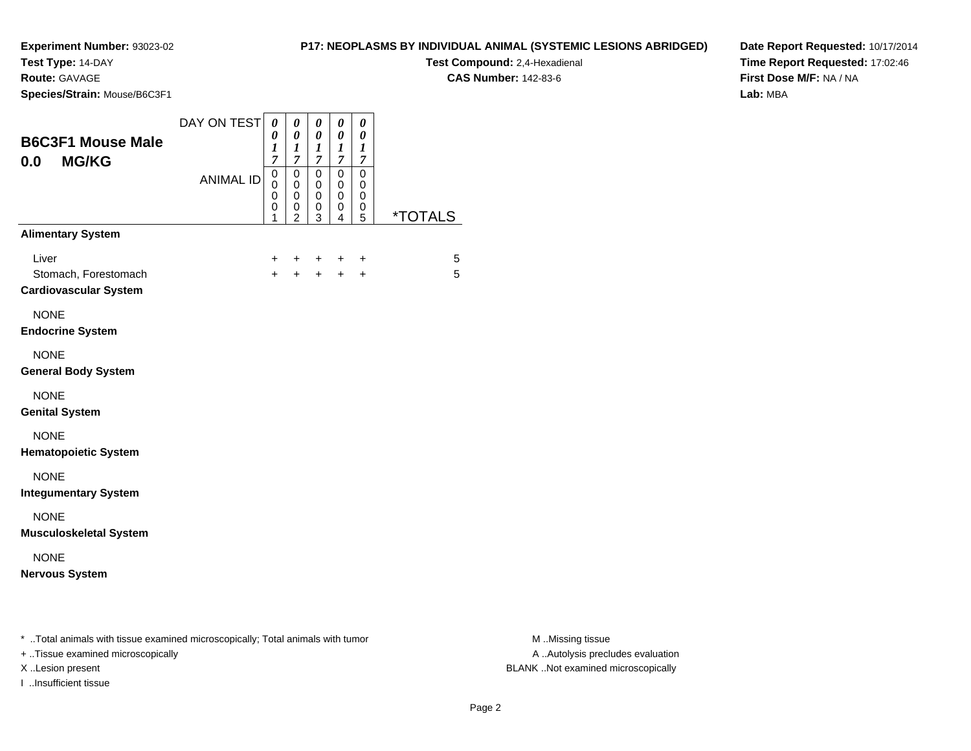**Test Type:** 14-DAY

**Route:** GAVAGE

**Species/Strain:** Mouse/B6C3F1

**Test Compound:** 2,4-Hexadienal **CAS Number:** 142-83-6

**Date Report Requested:** 10/17/2014**Time Report Requested:** 17:02:46**First Dose M/F:** NA / NA**Lab:** MBA

| <b>B6C3F1 Mouse Male</b><br><b>MG/KG</b><br>0.0                                | DAY ON TEST      | 0<br>0<br>1<br>$\overline{7}$             | 0<br>0<br>1<br>$\overline{7}$                          | 0<br>0<br>$\boldsymbol{l}$<br>$\mathcal{I}$ | 0<br>0<br>1<br>$\overline{7}$   | 0<br>0<br>1<br>$\overline{7}$   |                       |
|--------------------------------------------------------------------------------|------------------|-------------------------------------------|--------------------------------------------------------|---------------------------------------------|---------------------------------|---------------------------------|-----------------------|
|                                                                                | <b>ANIMAL ID</b> | $\mathbf 0$<br>0<br>$\mathbf 0$<br>0<br>1 | $\mathbf 0$<br>$\mathbf 0$<br>0<br>0<br>$\overline{2}$ | $\mathbf 0$<br>$\mathbf 0$<br>0<br>0<br>3   | $\mathbf 0$<br>0<br>0<br>0<br>4 | $\mathbf 0$<br>0<br>0<br>0<br>5 | <i><b>*TOTALS</b></i> |
| <b>Alimentary System</b>                                                       |                  |                                           |                                                        |                                             |                                 |                                 |                       |
| Liver<br>Stomach, Forestomach<br><b>Cardiovascular System</b>                  |                  | +<br>$+$                                  | $\ddot{}$<br>$+$                                       | $+$<br>$+$                                  | ÷<br>$+$                        | $\ddot{}$<br>$\ddot{}$          | 5<br>5                |
| <b>NONE</b><br><b>Endocrine System</b>                                         |                  |                                           |                                                        |                                             |                                 |                                 |                       |
| <b>NONE</b><br><b>General Body System</b>                                      |                  |                                           |                                                        |                                             |                                 |                                 |                       |
| <b>NONE</b><br><b>Genital System</b>                                           |                  |                                           |                                                        |                                             |                                 |                                 |                       |
| <b>NONE</b><br><b>Hematopoietic System</b>                                     |                  |                                           |                                                        |                                             |                                 |                                 |                       |
| <b>NONE</b><br><b>Integumentary System</b>                                     |                  |                                           |                                                        |                                             |                                 |                                 |                       |
| <b>NONE</b><br><b>Musculoskeletal System</b>                                   |                  |                                           |                                                        |                                             |                                 |                                 |                       |
| <b>NONE</b><br><b>Nervous System</b>                                           |                  |                                           |                                                        |                                             |                                 |                                 |                       |
| * Total animals with tissue examined microscopically; Total animals with tumor |                  |                                           |                                                        |                                             |                                 |                                 |                       |

+ ..Tissue examined microscopically

I ..Insufficient tissue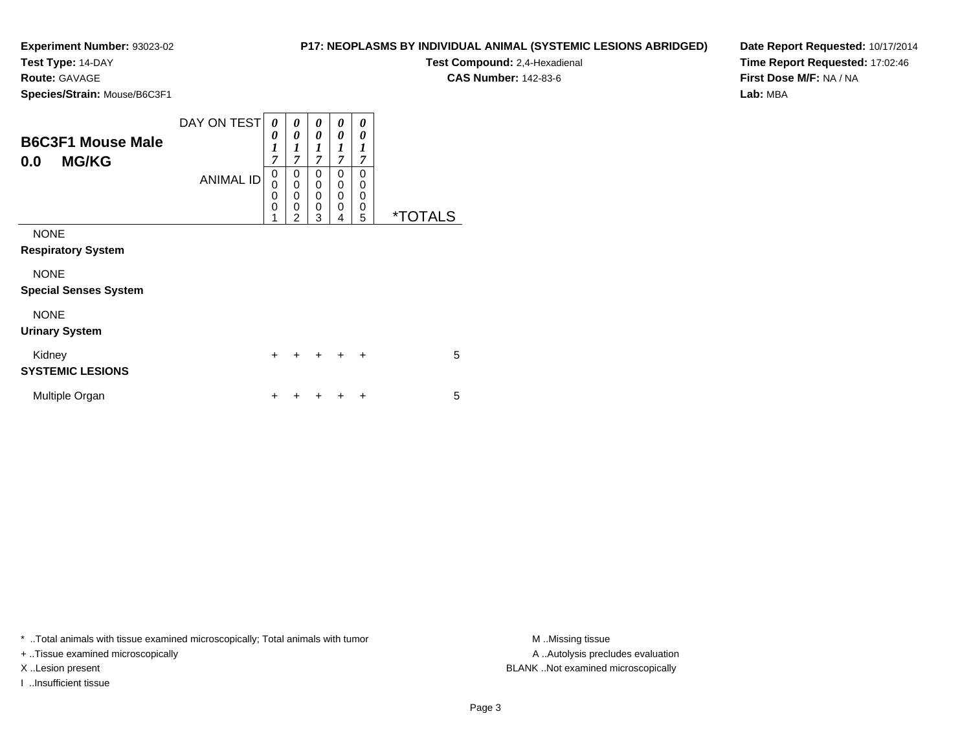**Test Type:** 14-DAY

**Route:** GAVAGE

**Species/Strain:** Mouse/B6C3F1

**Test Compound:** 2,4-Hexadienal

**CAS Number:** 142-83-6

**Date Report Requested:** 10/17/2014**Time Report Requested:** 17:02:46**First Dose M/F:** NA / NA**Lab:** MBA

| <b>B6C3F1 Mouse Male</b><br><b>MG/KG</b><br>0.0 | DAY ON TEST<br><b>ANIMAL ID</b> | 0<br>0<br>$\boldsymbol{l}$<br>7<br>0<br>$\mathbf 0$<br>$\mathbf 0$<br>$\mathbf 0$<br>1 | 0<br>0<br>1<br>$\overline{7}$<br>0<br>$\overline{0}$<br>$\overline{0}$<br>0<br>$\overline{2}$ | 0<br>0<br>$\boldsymbol{l}$<br>$\overline{7}$<br>0<br>0<br>$\mathbf 0$<br>$\mathbf 0$<br>3 | 0<br>0<br>1<br>$\overline{7}$<br>0<br>0<br>$\mathbf 0$<br>$\mathbf 0$<br>4 | 0<br>0<br>$\boldsymbol{l}$<br>7<br>$\Omega$<br>0<br>$\Omega$<br>0<br>5 | <i><b>*TOTALS</b></i> |
|-------------------------------------------------|---------------------------------|----------------------------------------------------------------------------------------|-----------------------------------------------------------------------------------------------|-------------------------------------------------------------------------------------------|----------------------------------------------------------------------------|------------------------------------------------------------------------|-----------------------|
| <b>NONE</b><br><b>Respiratory System</b>        |                                 |                                                                                        |                                                                                               |                                                                                           |                                                                            |                                                                        |                       |
| <b>NONE</b><br><b>Special Senses System</b>     |                                 |                                                                                        |                                                                                               |                                                                                           |                                                                            |                                                                        |                       |
| <b>NONE</b><br><b>Urinary System</b>            |                                 |                                                                                        |                                                                                               |                                                                                           |                                                                            |                                                                        |                       |
| Kidney<br><b>SYSTEMIC LESIONS</b>               |                                 | $\ddot{}$                                                                              |                                                                                               | $\pm$                                                                                     | $\ddot{}$                                                                  | $\ddot{}$                                                              | 5                     |
| Multiple Organ                                  |                                 | ┿                                                                                      |                                                                                               |                                                                                           |                                                                            | ٠                                                                      | 5                     |

\* ..Total animals with tissue examined microscopically; Total animals with tumor **M** ..Missing tissue M ..Missing tissue

+ ..Tissue examined microscopically

I ..Insufficient tissue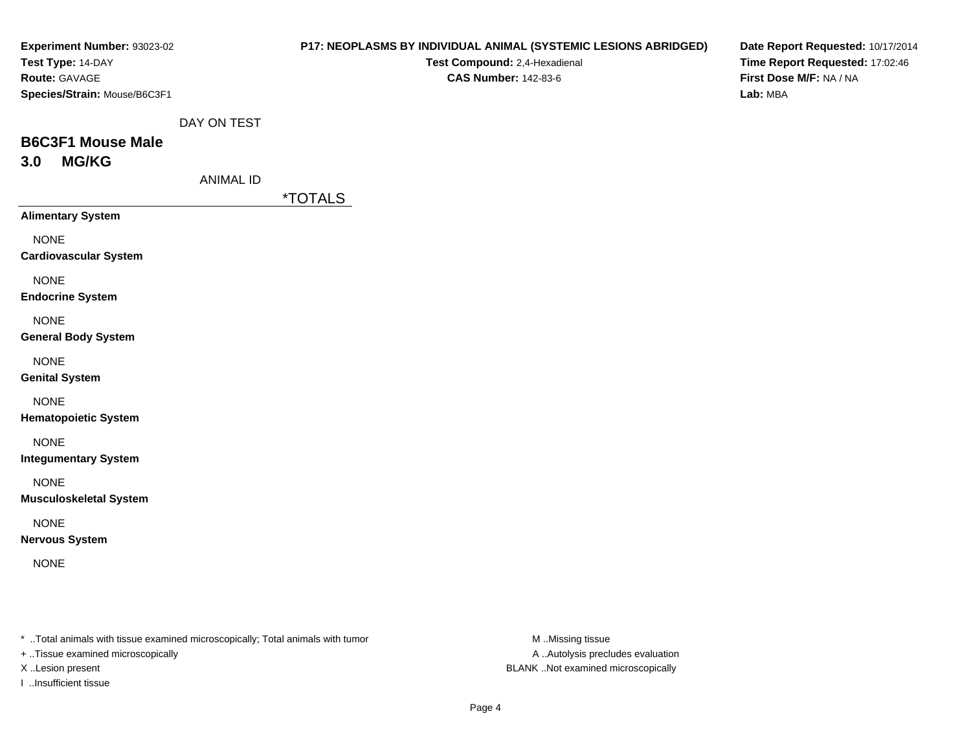| <b>Experiment Number: 93023-02</b><br>Test Type: 14-DAY<br>Route: GAVAGE<br>Species/Strain: Mouse/B6C3F1 |                  | <b>P17: NEOPLASMS BY INDIVIDUAL ANIMAL (SYSTEMIC LESIONS ABRIDGED)</b><br>Test Compound: 2,4-Hexadienal<br><b>CAS Number: 142-83-6</b> | Date Report Requested: 10/17/2014<br>Time Report Requested: 17:02:46<br>First Dose M/F: NA / NA<br>Lab: MBA |
|----------------------------------------------------------------------------------------------------------|------------------|----------------------------------------------------------------------------------------------------------------------------------------|-------------------------------------------------------------------------------------------------------------|
| <b>B6C3F1 Mouse Male</b>                                                                                 | DAY ON TEST      |                                                                                                                                        |                                                                                                             |
| <b>MG/KG</b><br>3.0                                                                                      | <b>ANIMAL ID</b> | <i><b>*TOTALS</b></i>                                                                                                                  |                                                                                                             |
| <b>Alimentary System</b>                                                                                 |                  |                                                                                                                                        |                                                                                                             |
| <b>NONE</b><br><b>Cardiovascular System</b>                                                              |                  |                                                                                                                                        |                                                                                                             |
| <b>NONE</b><br><b>Endocrine System</b>                                                                   |                  |                                                                                                                                        |                                                                                                             |
| <b>NONE</b><br><b>General Body System</b>                                                                |                  |                                                                                                                                        |                                                                                                             |
| <b>NONE</b><br><b>Genital System</b>                                                                     |                  |                                                                                                                                        |                                                                                                             |
| <b>NONE</b><br><b>Hematopoietic System</b>                                                               |                  |                                                                                                                                        |                                                                                                             |
| <b>NONE</b><br><b>Integumentary System</b>                                                               |                  |                                                                                                                                        |                                                                                                             |
| <b>NONE</b><br><b>Musculoskeletal System</b>                                                             |                  |                                                                                                                                        |                                                                                                             |
| <b>NONE</b><br><b>Nervous System</b>                                                                     |                  |                                                                                                                                        |                                                                                                             |
| <b>NONE</b>                                                                                              |                  |                                                                                                                                        |                                                                                                             |
|                                                                                                          |                  |                                                                                                                                        |                                                                                                             |
|                                                                                                          |                  |                                                                                                                                        |                                                                                                             |

\* ..Total animals with tissue examined microscopically; Total animals with tumor M..Missing tissue M

+ ..Tissue examined microscopically

I ..Insufficient tissue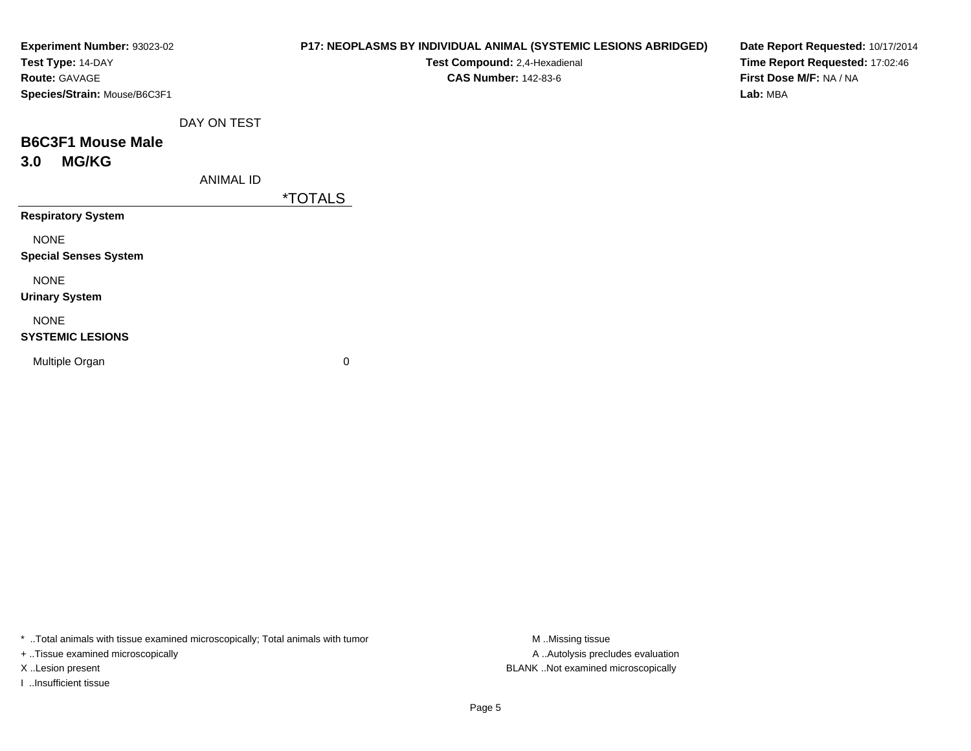| Experiment Number: 93023-02  |                  | P17: NEOPLASMS BY INDIVIDUAL ANIMAL (SYSTEMIC LESIONS ABRIDGED) | Date Report Requested: 10/17/2014 |
|------------------------------|------------------|-----------------------------------------------------------------|-----------------------------------|
| Test Type: 14-DAY            |                  | Test Compound: 2,4-Hexadienal                                   | Time Report Requested: 17:02:46   |
| Route: GAVAGE                |                  | <b>CAS Number: 142-83-6</b>                                     | First Dose M/F: NA / NA           |
| Species/Strain: Mouse/B6C3F1 |                  |                                                                 | Lab: MBA                          |
|                              | DAY ON TEST      |                                                                 |                                   |
| <b>B6C3F1 Mouse Male</b>     |                  |                                                                 |                                   |
| <b>MG/KG</b><br>3.0          |                  |                                                                 |                                   |
|                              | <b>ANIMAL ID</b> |                                                                 |                                   |
|                              |                  | *TOTALS                                                         |                                   |
| <b>Respiratory System</b>    |                  |                                                                 |                                   |
| <b>NONE</b>                  |                  |                                                                 |                                   |
| <b>Special Senses System</b> |                  |                                                                 |                                   |
| <b>NONE</b>                  |                  |                                                                 |                                   |
| <b>Urinary System</b>        |                  |                                                                 |                                   |
| <b>NONE</b>                  |                  |                                                                 |                                   |
| <b>SYSTEMIC LESIONS</b>      |                  |                                                                 |                                   |
| Multiple Organ               |                  | $\pmb{0}$                                                       |                                   |
|                              |                  |                                                                 |                                   |
|                              |                  |                                                                 |                                   |

\* ..Total animals with tissue examined microscopically; Total animals with tumor M..Missing tissue M ..Missing tissue

+ ..Tissue examined microscopically

I ..Insufficient tissue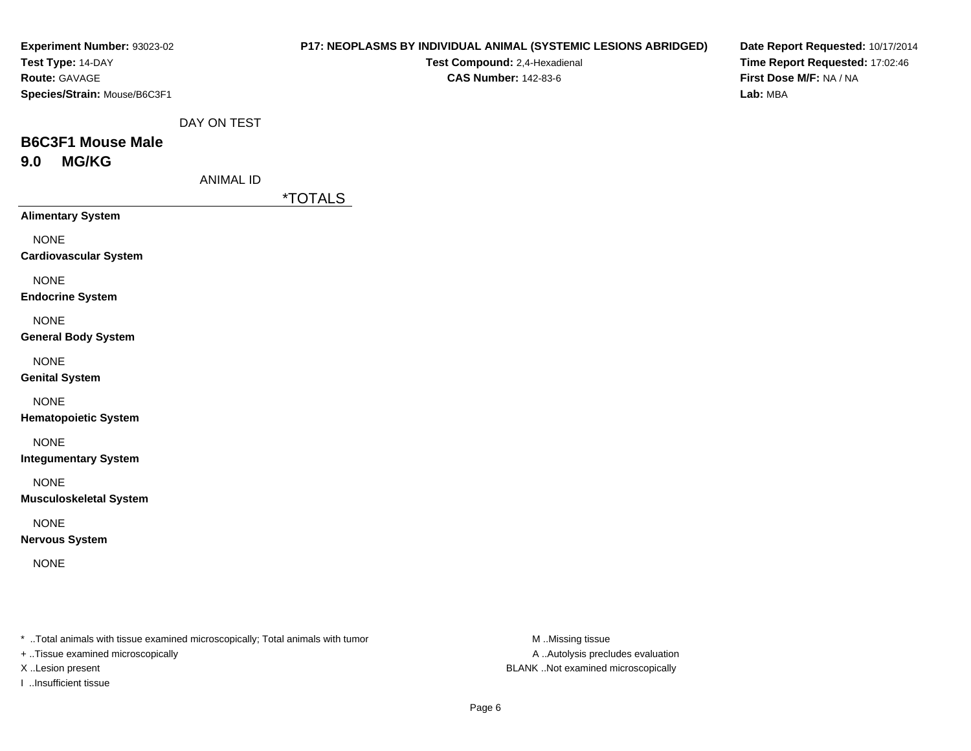| Experiment Number: 93023-02                 |                  | <b>P17: NEOPLASMS BY INDIVIDUAL ANIMAL (SYSTEMIC LESIONS ABRIDGED)</b> | Date Report Requested: 10/17/2014                          |
|---------------------------------------------|------------------|------------------------------------------------------------------------|------------------------------------------------------------|
| Test Type: 14-DAY<br>Route: GAVAGE          |                  | Test Compound: 2,4-Hexadienal<br><b>CAS Number: 142-83-6</b>           | Time Report Requested: 17:02:46<br>First Dose M/F: NA / NA |
| Species/Strain: Mouse/B6C3F1                |                  |                                                                        | Lab: MBA                                                   |
|                                             |                  |                                                                        |                                                            |
|                                             | DAY ON TEST      |                                                                        |                                                            |
| <b>B6C3F1 Mouse Male</b>                    |                  |                                                                        |                                                            |
| <b>MG/KG</b><br>9.0                         |                  |                                                                        |                                                            |
|                                             | <b>ANIMAL ID</b> |                                                                        |                                                            |
| <b>Alimentary System</b>                    |                  | <i><b>*TOTALS</b></i>                                                  |                                                            |
|                                             |                  |                                                                        |                                                            |
| <b>NONE</b><br><b>Cardiovascular System</b> |                  |                                                                        |                                                            |
|                                             |                  |                                                                        |                                                            |
| <b>NONE</b>                                 |                  |                                                                        |                                                            |
| <b>Endocrine System</b>                     |                  |                                                                        |                                                            |
| <b>NONE</b>                                 |                  |                                                                        |                                                            |
| <b>General Body System</b>                  |                  |                                                                        |                                                            |
| <b>NONE</b>                                 |                  |                                                                        |                                                            |
| <b>Genital System</b>                       |                  |                                                                        |                                                            |
| <b>NONE</b>                                 |                  |                                                                        |                                                            |
| <b>Hematopoietic System</b>                 |                  |                                                                        |                                                            |
| <b>NONE</b>                                 |                  |                                                                        |                                                            |
| <b>Integumentary System</b>                 |                  |                                                                        |                                                            |
| <b>NONE</b>                                 |                  |                                                                        |                                                            |
| <b>Musculoskeletal System</b>               |                  |                                                                        |                                                            |
| <b>NONE</b>                                 |                  |                                                                        |                                                            |
| <b>Nervous System</b>                       |                  |                                                                        |                                                            |
| <b>NONE</b>                                 |                  |                                                                        |                                                            |
|                                             |                  |                                                                        |                                                            |
|                                             |                  |                                                                        |                                                            |
|                                             |                  |                                                                        |                                                            |
|                                             |                  |                                                                        |                                                            |

\* ..Total animals with tissue examined microscopically; Total animals with tumor M..Missing tissue M

+ ..Tissue examined microscopically

I ..Insufficient tissue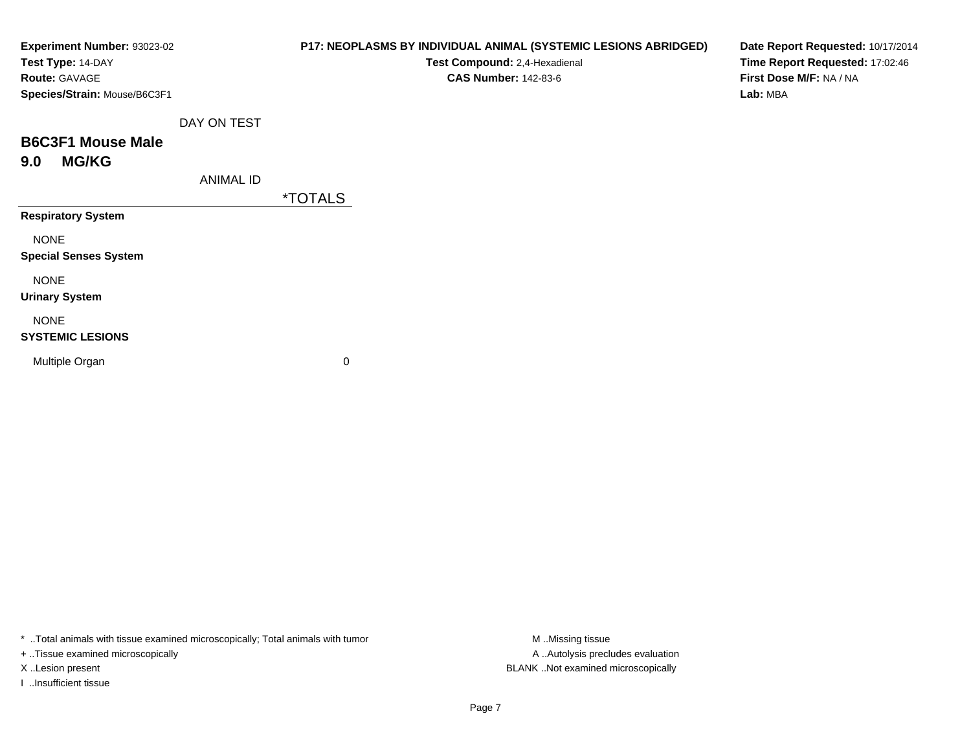| Experiment Number: 93023-02  |                  | P17: NEOPLASMS BY INDIVIDUAL ANIMAL (SYSTEMIC LESIONS ABRIDGED) | Date Report Requested: 10/17/2014 |
|------------------------------|------------------|-----------------------------------------------------------------|-----------------------------------|
| Test Type: 14-DAY            |                  | Test Compound: 2,4-Hexadienal                                   | Time Report Requested: 17:02:46   |
| Route: GAVAGE                |                  | <b>CAS Number: 142-83-6</b>                                     | First Dose M/F: NA / NA           |
| Species/Strain: Mouse/B6C3F1 |                  |                                                                 | Lab: MBA                          |
|                              | DAY ON TEST      |                                                                 |                                   |
| <b>B6C3F1 Mouse Male</b>     |                  |                                                                 |                                   |
| <b>MG/KG</b><br>9.0          |                  |                                                                 |                                   |
|                              | <b>ANIMAL ID</b> |                                                                 |                                   |
|                              |                  | <i><b>*TOTALS</b></i>                                           |                                   |
| <b>Respiratory System</b>    |                  |                                                                 |                                   |
| <b>NONE</b>                  |                  |                                                                 |                                   |
| <b>Special Senses System</b> |                  |                                                                 |                                   |
| <b>NONE</b>                  |                  |                                                                 |                                   |
| <b>Urinary System</b>        |                  |                                                                 |                                   |
| <b>NONE</b>                  |                  |                                                                 |                                   |
| <b>SYSTEMIC LESIONS</b>      |                  |                                                                 |                                   |
| Multiple Organ               |                  | 0                                                               |                                   |
|                              |                  |                                                                 |                                   |
|                              |                  |                                                                 |                                   |

\* ..Total animals with tissue examined microscopically; Total animals with tumor M..Missing tissue M ..Missing tissue

+ ..Tissue examined microscopically

I ..Insufficient tissue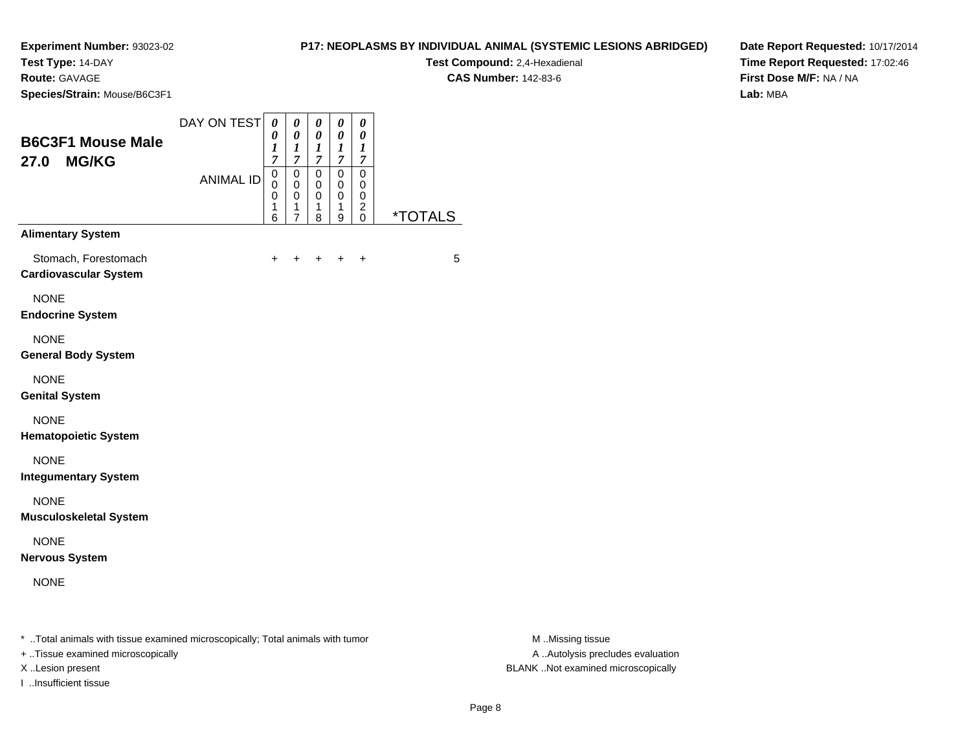# **Test Type:** 14-DAY

**Route:** GAVAGE

**Species/Strain:** Mouse/B6C3F1

# **P17: NEOPLASMS BY INDIVIDUAL ANIMAL (SYSTEMIC LESIONS ABRIDGED)**

**Test Compound:** 2,4-Hexadienal **CAS Number:** 142-83-6

**Date Report Requested:** 10/17/2014**Time Report Requested:** 17:02:46**First Dose M/F:** NA / NA**Lab:** MBA

| <b>B6C3F1 Mouse Male</b><br><b>MG/KG</b><br>27.0     | DAY ON TEST<br><b>ANIMAL ID</b> | 0<br>0<br>$\boldsymbol{l}$<br>$\overline{7}$<br>0<br>$\mathbf 0$<br>0<br>1<br>6 | 0<br>0<br>$\boldsymbol{l}$<br>$\overline{7}$<br>0<br>0<br>0<br>1<br>$\overline{7}$ | 0<br>0<br>1<br>$\overline{7}$<br>0<br>0<br>0<br>1<br>8 | $\boldsymbol{\theta}$<br>0<br>$\boldsymbol{l}$<br>$\overline{7}$<br>0<br>$\mathbf 0$<br>0<br>1<br>9 | 0<br>0<br>1<br>$\boldsymbol{7}$<br>0<br>0<br>0<br>$\overline{c}$<br>$\Omega$ | <i><b>*TOTALS</b></i> |
|------------------------------------------------------|---------------------------------|---------------------------------------------------------------------------------|------------------------------------------------------------------------------------|--------------------------------------------------------|-----------------------------------------------------------------------------------------------------|------------------------------------------------------------------------------|-----------------------|
| <b>Alimentary System</b>                             |                                 |                                                                                 |                                                                                    |                                                        |                                                                                                     |                                                                              |                       |
| Stomach, Forestomach<br><b>Cardiovascular System</b> |                                 | $\ddot{}$                                                                       | $\ddot{}$                                                                          | $\ddot{}$                                              | $\ddot{}$                                                                                           | $\ddot{}$                                                                    | 5                     |
| <b>NONE</b><br><b>Endocrine System</b>               |                                 |                                                                                 |                                                                                    |                                                        |                                                                                                     |                                                                              |                       |
| <b>NONE</b><br><b>General Body System</b>            |                                 |                                                                                 |                                                                                    |                                                        |                                                                                                     |                                                                              |                       |
| <b>NONE</b><br><b>Genital System</b>                 |                                 |                                                                                 |                                                                                    |                                                        |                                                                                                     |                                                                              |                       |
| <b>NONE</b><br><b>Hematopoietic System</b>           |                                 |                                                                                 |                                                                                    |                                                        |                                                                                                     |                                                                              |                       |
| <b>NONE</b><br><b>Integumentary System</b>           |                                 |                                                                                 |                                                                                    |                                                        |                                                                                                     |                                                                              |                       |
| <b>NONE</b><br><b>Musculoskeletal System</b>         |                                 |                                                                                 |                                                                                    |                                                        |                                                                                                     |                                                                              |                       |
| <b>NONE</b><br><b>Nervous System</b>                 |                                 |                                                                                 |                                                                                    |                                                        |                                                                                                     |                                                                              |                       |
| <b>NONE</b>                                          |                                 |                                                                                 |                                                                                    |                                                        |                                                                                                     |                                                                              |                       |

\* ..Total animals with tissue examined microscopically; Total animals with tumor **M** . Missing tissue M ..Missing tissue

+ ..Tissue examined microscopically

I ..Insufficient tissue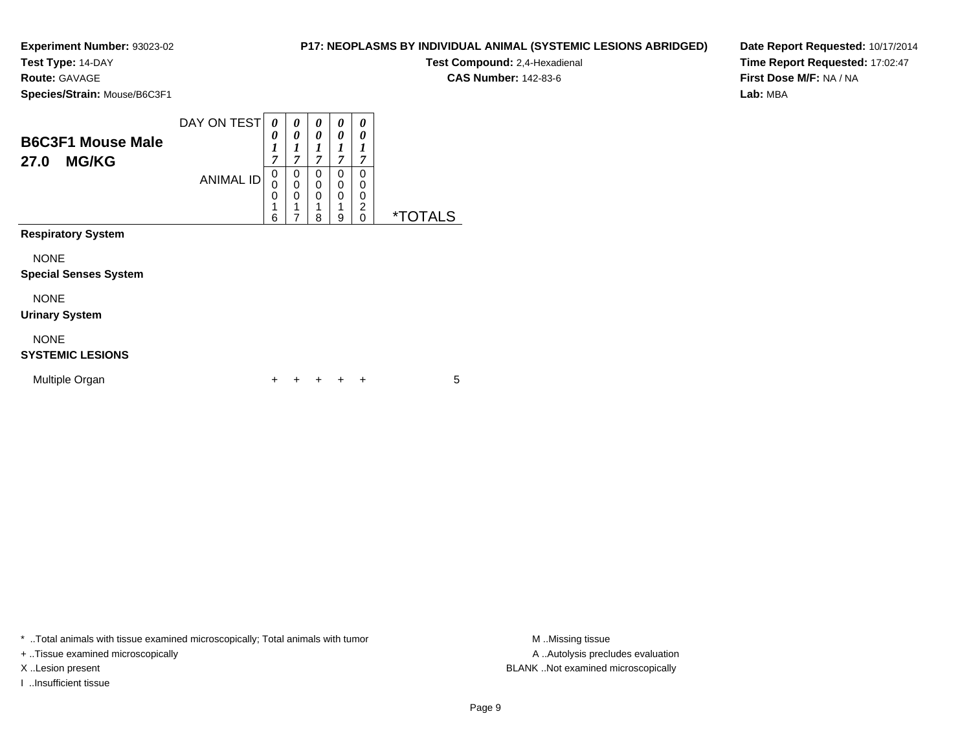**Test Type:** 14-DAY

**Route:** GAVAGE

**Species/Strain:** Mouse/B6C3F1

|                          | DAY ON TEST      |   | 0 | $\boldsymbol{\theta}$ | $\boldsymbol{\theta}$ | 0              |   |
|--------------------------|------------------|---|---|-----------------------|-----------------------|----------------|---|
|                          |                  | 0 | 0 | 0                     | 0                     | 0              |   |
| <b>B6C3F1 Mouse Male</b> |                  |   | ٠ |                       |                       |                |   |
| <b>MG/KG</b><br>27.0     |                  | 7 | ~ | ,                     | 7                     | ,              |   |
|                          | <b>ANIMAL ID</b> | 0 | 0 | U                     | 0                     | 0              |   |
|                          |                  | 0 |   |                       | 0                     | 0              |   |
|                          |                  | 0 | 0 |                       | 0                     | 0              |   |
|                          |                  | ◢ |   |                       | и                     | $\overline{2}$ |   |
|                          |                  | 6 |   | 8                     | 9                     | 0              | × |

**Respiratory System**

NONE

#### **Special Senses System**

NONE

#### **Urinary System**

NONE

# **SYSTEMIC LESIONS**

| Multiple Organ |  |  |  | + + + + + |  |  |  |
|----------------|--|--|--|-----------|--|--|--|
|----------------|--|--|--|-----------|--|--|--|

\* ..Total animals with tissue examined microscopically; Total animals with tumor **M** ...Missing tissue M ...Missing tissue

+ ..Tissue examined microscopically

I ..Insufficient tissue

**P17: NEOPLASMS BY INDIVIDUAL ANIMAL (SYSTEMIC LESIONS ABRIDGED)**

**Test Compound:** 2,4-Hexadienal

**CAS Number:** 142-83-6

**Date Report Requested:** 10/17/2014**Time Report Requested:** 17:02:47**First Dose M/F:** NA / NA**Lab:** MBA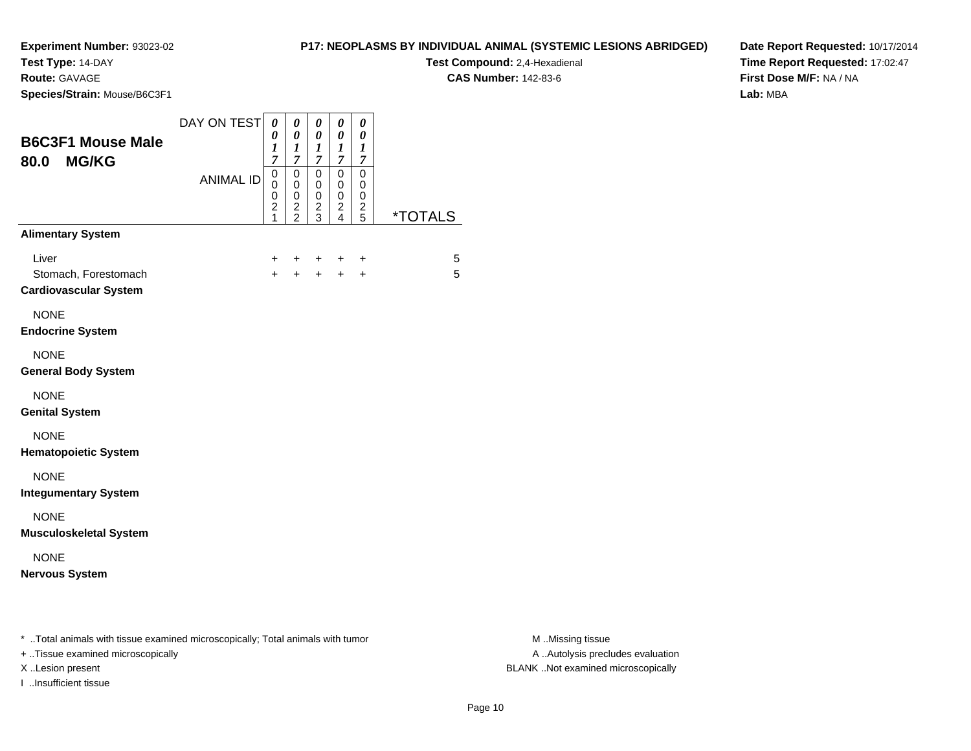**Test Type:** 14-DAY

**Route:** GAVAGE

**Species/Strain:** Mouse/B6C3F1

# **P17: NEOPLASMS BY INDIVIDUAL ANIMAL (SYSTEMIC LESIONS ABRIDGED)**

**Test Compound:** 2,4-Hexadienal **CAS Number:** 142-83-6

**Date Report Requested:** 10/17/2014**Time Report Requested:** 17:02:47**First Dose M/F:** NA / NA**Lab:** MBA

| <b>B6C3F1 Mouse Male</b>                                      | DAY ON TEST      | 0<br>0<br>1<br>7                                                               | 0<br>$\pmb{\theta}$<br>1<br>7          | 0<br>0<br>1<br>7             | 0<br>$\pmb{\theta}$<br>1<br>$\overline{7}$ | 0<br>0<br>1<br>7                       |                       |
|---------------------------------------------------------------|------------------|--------------------------------------------------------------------------------|----------------------------------------|------------------------------|--------------------------------------------|----------------------------------------|-----------------------|
| 80.0 MG/KG                                                    | <b>ANIMAL ID</b> | $\mathsf 0$<br>$\mathbf 0$<br>$\boldsymbol{0}$<br>$\overline{\mathbf{c}}$<br>1 | $\mathsf 0$<br>0<br>0<br>$\frac{2}{2}$ | 0<br>0<br>0<br>$\frac{2}{3}$ | $\mathbf 0$<br>0<br>0<br>$\frac{2}{4}$     | $\mathbf 0$<br>0<br>0<br>$\frac{2}{5}$ | <i><b>*TOTALS</b></i> |
| <b>Alimentary System</b>                                      |                  |                                                                                |                                        |                              |                                            |                                        |                       |
| Liver<br>Stomach, Forestomach<br><b>Cardiovascular System</b> |                  | $\ddot{}$<br>$+$                                                               | $\ddot{}$<br>$+$                       | $\ddot{}$                    | $\ddot{}$<br>$+$ $+$                       | $\ddot{}$<br>$\ddot{}$                 | 5<br>5                |
| <b>NONE</b><br><b>Endocrine System</b>                        |                  |                                                                                |                                        |                              |                                            |                                        |                       |
| <b>NONE</b><br><b>General Body System</b>                     |                  |                                                                                |                                        |                              |                                            |                                        |                       |
| <b>NONE</b><br><b>Genital System</b>                          |                  |                                                                                |                                        |                              |                                            |                                        |                       |
| <b>NONE</b><br><b>Hematopoietic System</b>                    |                  |                                                                                |                                        |                              |                                            |                                        |                       |
| <b>NONE</b><br><b>Integumentary System</b>                    |                  |                                                                                |                                        |                              |                                            |                                        |                       |
| <b>NONE</b><br><b>Musculoskeletal System</b>                  |                  |                                                                                |                                        |                              |                                            |                                        |                       |
| <b>NONE</b><br><b>Nervous System</b>                          |                  |                                                                                |                                        |                              |                                            |                                        |                       |

\* ..Total animals with tissue examined microscopically; Total animals with tumor **M** . Missing tissue M ..Missing tissue

+ ..Tissue examined microscopically

I ..Insufficient tissue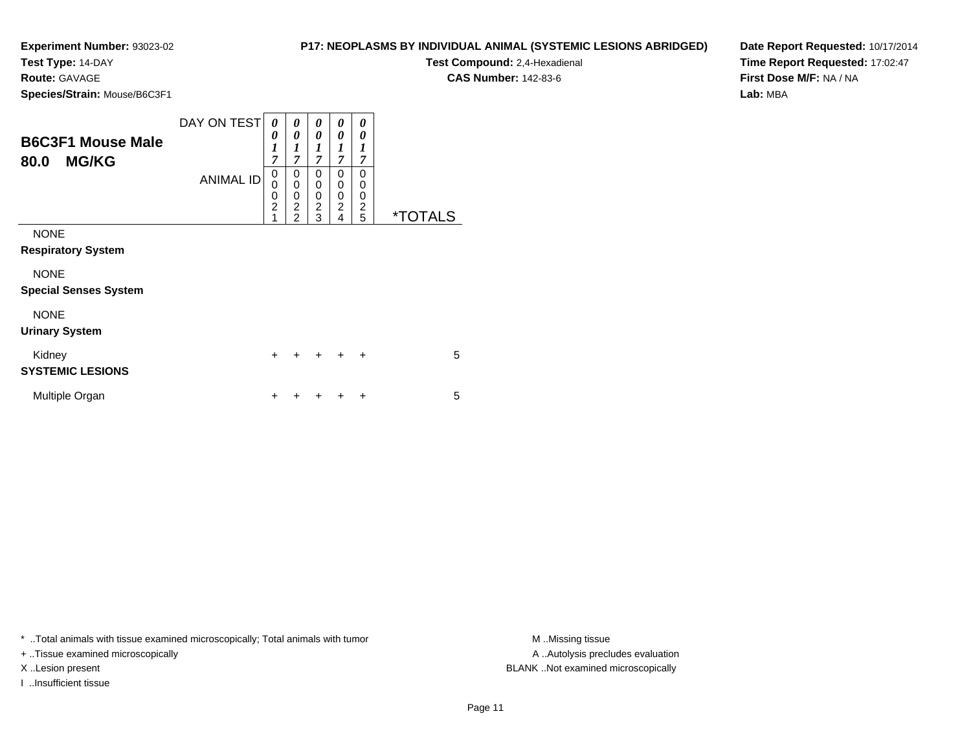**Test Type:** 14-DAY

**Route:** GAVAGE

**Species/Strain:** Mouse/B6C3F1

**Test Compound:** 2,4-Hexadienal

**CAS Number:** 142-83-6

**Date Report Requested:** 10/17/2014**Time Report Requested:** 17:02:47**First Dose M/F:** NA / NA**Lab:** MBA

| <b>B6C3F1 Mouse Male</b><br><b>MG/KG</b><br>80.0 | DAY ON TEST<br><b>ANIMAL ID</b> | 0<br>0<br>$\boldsymbol{l}$<br>$\overline{7}$<br>0<br>0<br>$\pmb{0}$<br>$\overline{2}$<br>1 | 0<br>0<br>1<br>$\overline{7}$<br>0<br>$\mathbf 0$<br>$\mathbf 0$<br>$\overline{2}$<br>$\overline{2}$ | 0<br>0<br>1<br>$\overline{7}$<br>$\Omega$<br>0<br>0<br>$\overline{c}$<br>3 | 0<br>0<br>$\boldsymbol{l}$<br>$\overline{7}$<br>0<br>0<br>0<br>$\overline{c}$<br>4 | 0<br>0<br>1<br>7<br>0<br>0<br>$\mathbf 0$<br>$\overline{2}$<br>5 | <i><b>*TOTALS</b></i> |
|--------------------------------------------------|---------------------------------|--------------------------------------------------------------------------------------------|------------------------------------------------------------------------------------------------------|----------------------------------------------------------------------------|------------------------------------------------------------------------------------|------------------------------------------------------------------|-----------------------|
| <b>NONE</b><br><b>Respiratory System</b>         |                                 |                                                                                            |                                                                                                      |                                                                            |                                                                                    |                                                                  |                       |
| <b>NONE</b><br><b>Special Senses System</b>      |                                 |                                                                                            |                                                                                                      |                                                                            |                                                                                    |                                                                  |                       |
| <b>NONE</b><br><b>Urinary System</b>             |                                 |                                                                                            |                                                                                                      |                                                                            |                                                                                    |                                                                  |                       |
| Kidney<br><b>SYSTEMIC LESIONS</b>                |                                 | $\ddot{}$                                                                                  | +                                                                                                    | ÷                                                                          | $\div$                                                                             | $\ddot{}$                                                        | 5                     |
| Multiple Organ                                   |                                 | ٠                                                                                          |                                                                                                      |                                                                            |                                                                                    | ٠                                                                | 5                     |

\* ..Total animals with tissue examined microscopically; Total animals with tumor **M** . Missing tissue M ..Missing tissue

+ ..Tissue examined microscopically

I ..Insufficient tissue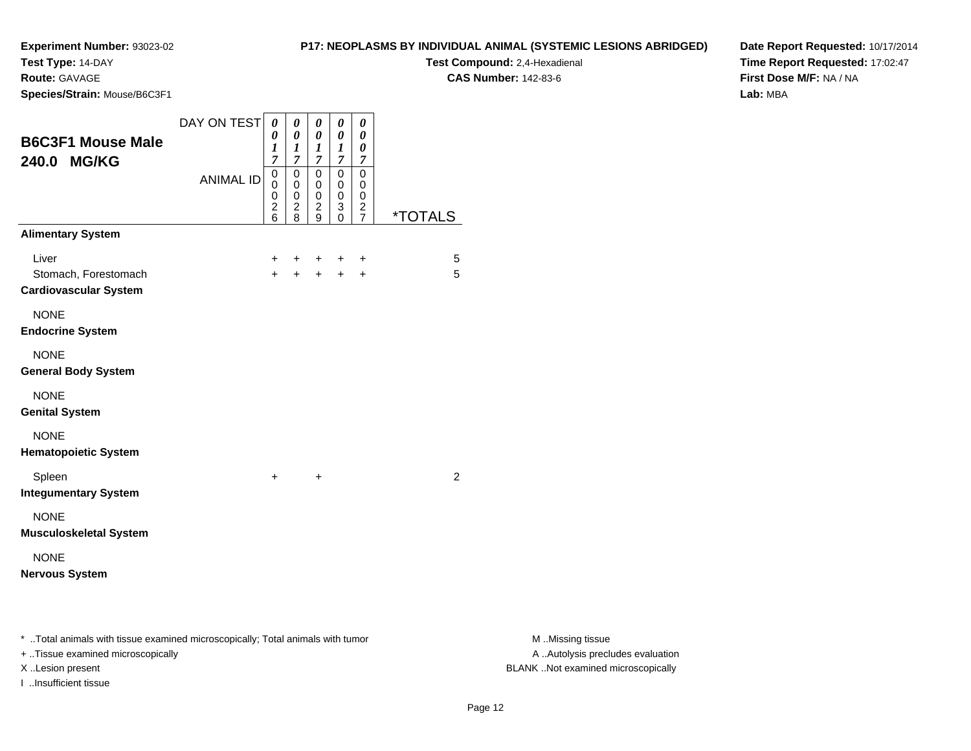# **Test Type:** 14-DAY

**Route:** GAVAGE

**Species/Strain:** Mouse/B6C3F1

# **P17: NEOPLASMS BY INDIVIDUAL ANIMAL (SYSTEMIC LESIONS ABRIDGED)**

**Test Compound:** 2,4-Hexadienal

**CAS Number:** 142-83-6

**Date Report Requested:** 10/17/2014**Time Report Requested:** 17:02:47**First Dose M/F:** NA / NA**Lab:** MBA

| <b>B6C3F1 Mouse Male</b><br>240.0 MG/KG                                        | DAY ON TEST      | $\pmb{\theta}$<br>$\boldsymbol{\theta}$<br>1<br>$\overline{7}$  | $\boldsymbol{\theta}$<br>$\boldsymbol{\theta}$<br>1<br>$\overline{7}$ | $\pmb{\theta}$<br>0<br>1<br>$\overline{7}$ | 0<br>0<br>1<br>7                 | $\boldsymbol{\theta}$<br>0<br>0<br>7                   |                       |
|--------------------------------------------------------------------------------|------------------|-----------------------------------------------------------------|-----------------------------------------------------------------------|--------------------------------------------|----------------------------------|--------------------------------------------------------|-----------------------|
|                                                                                | <b>ANIMAL ID</b> | $\mathbf 0$<br>$\mathbf 0$<br>0<br>$\overline{\mathbf{c}}$<br>6 | 0<br>$\mathbf 0$<br>0<br>2<br>8                                       | 0<br>0<br>0<br>2<br>9                      | 0<br>0<br>0<br>3<br>$\mathbf{0}$ | $\mathbf 0$<br>0<br>$\mathbf 0$<br>2<br>$\overline{7}$ | <i><b>*TOTALS</b></i> |
| <b>Alimentary System</b>                                                       |                  |                                                                 |                                                                       |                                            |                                  |                                                        |                       |
| Liver<br>Stomach, Forestomach<br><b>Cardiovascular System</b>                  |                  | +<br>$\ddot{}$                                                  | +<br>$\ddot{}$                                                        | +<br>$+$                                   | +<br>$+$                         | +<br>$\ddot{}$                                         | 5<br>5                |
| <b>NONE</b><br><b>Endocrine System</b>                                         |                  |                                                                 |                                                                       |                                            |                                  |                                                        |                       |
| <b>NONE</b><br><b>General Body System</b>                                      |                  |                                                                 |                                                                       |                                            |                                  |                                                        |                       |
| <b>NONE</b><br><b>Genital System</b>                                           |                  |                                                                 |                                                                       |                                            |                                  |                                                        |                       |
| <b>NONE</b><br><b>Hematopoietic System</b>                                     |                  |                                                                 |                                                                       |                                            |                                  |                                                        |                       |
| Spleen<br><b>Integumentary System</b>                                          |                  | $\ddot{}$                                                       |                                                                       | $\ddot{}$                                  |                                  |                                                        | 2                     |
| <b>NONE</b><br><b>Musculoskeletal System</b>                                   |                  |                                                                 |                                                                       |                                            |                                  |                                                        |                       |
| <b>NONE</b><br><b>Nervous System</b>                                           |                  |                                                                 |                                                                       |                                            |                                  |                                                        |                       |
| * Total animals with tissue examined microscopically; Total animals with tumor |                  |                                                                 |                                                                       |                                            |                                  |                                                        |                       |

+ ..Tissue examined microscopically

I ..Insufficient tissue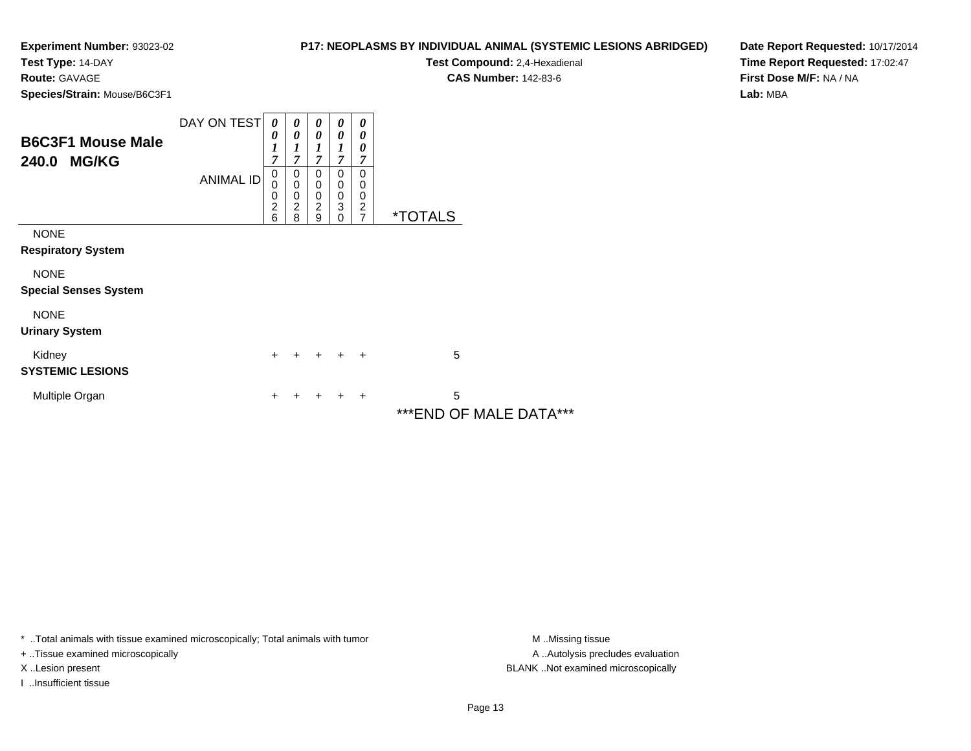**Test Type:** 14-DAY

**Route:** GAVAGE

**Species/Strain:** Mouse/B6C3F1

| P17: NEOPLASMS BY INDIVIDUAL ANIMAL (SYSTEMIC LESIONS ABRIDGED) |  |
|-----------------------------------------------------------------|--|
|-----------------------------------------------------------------|--|

**Test Compound:** 2,4-Hexadienal

**CAS Number:** 142-83-6

**Date Report Requested:** 10/17/2014**Time Report Requested:** 17:02:47**First Dose M/F:** NA / NA**Lab:** MBA

| <b>B6C3F1 Mouse Male</b><br>240.0 MG/KG     | DAY ON TEST<br><b>ANIMAL ID</b> | $\boldsymbol{\theta}$<br>0<br>1<br>7<br>$\mathbf 0$<br>0 | $\boldsymbol{\theta}$<br>0<br>1<br>7<br>0<br>$\mathbf 0$ | $\boldsymbol{\theta}$<br>$\boldsymbol{\theta}$<br>$\boldsymbol{l}$<br>$\overline{7}$<br>0<br>0 | 0<br>0<br>7<br>0<br>0      | 0<br>0<br>0<br>7<br>$\Omega$<br>0     |                       |
|---------------------------------------------|---------------------------------|----------------------------------------------------------|----------------------------------------------------------|------------------------------------------------------------------------------------------------|----------------------------|---------------------------------------|-----------------------|
|                                             |                                 | 0<br>$\overline{c}$<br>6                                 | $\boldsymbol{0}$<br>$\overline{c}$<br>8                  | $\mathbf 0$<br>$\overline{c}$<br>9                                                             | $\pmb{0}$<br>3<br>$\Omega$ | 0<br>$\overline{c}$<br>$\overline{7}$ | <i><b>*TOTALS</b></i> |
| <b>NONE</b><br><b>Respiratory System</b>    |                                 |                                                          |                                                          |                                                                                                |                            |                                       |                       |
| <b>NONE</b><br><b>Special Senses System</b> |                                 |                                                          |                                                          |                                                                                                |                            |                                       |                       |
| <b>NONE</b><br><b>Urinary System</b>        |                                 |                                                          |                                                          |                                                                                                |                            |                                       |                       |
| Kidney<br><b>SYSTEMIC LESIONS</b>           |                                 | +                                                        |                                                          | $\ddot{}$                                                                                      |                            | $\div$                                | 5                     |
| Multiple Organ                              |                                 | +                                                        |                                                          |                                                                                                |                            | ٠                                     | 5                     |
|                                             |                                 |                                                          |                                                          |                                                                                                |                            |                                       | ***F*IR<br>. <i>.</i> |

\*\*\*END OF MALE DATA\*\*\*

\* ..Total animals with tissue examined microscopically; Total animals with tumor **M** . Missing tissue M ..Missing tissue

+ ..Tissue examined microscopically

I ..Insufficient tissue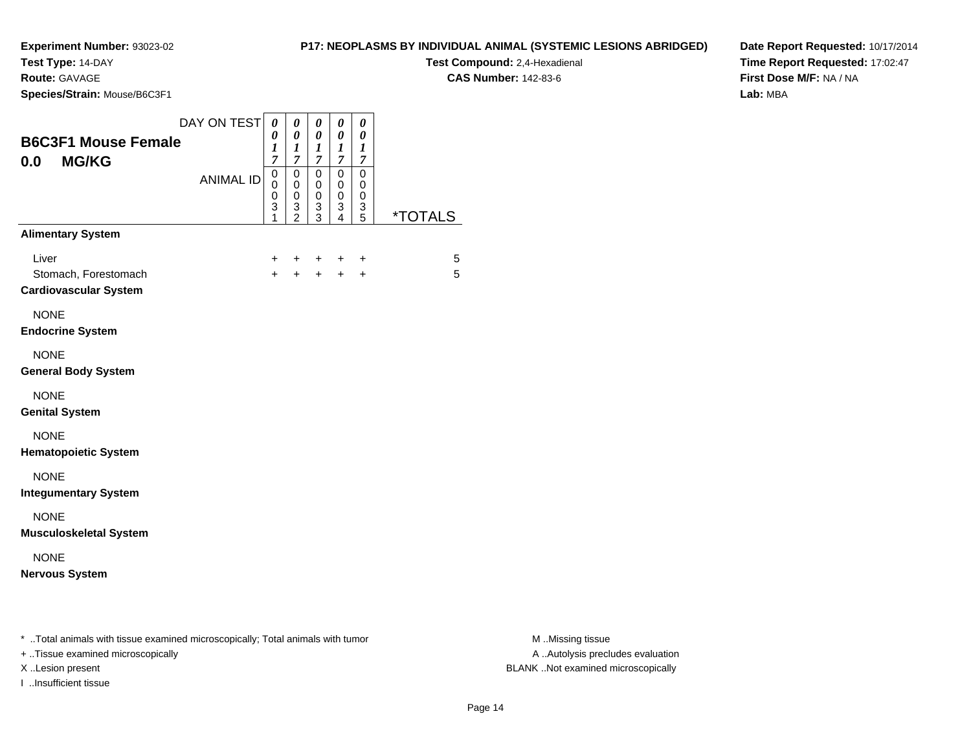**Test Type:** 14-DAY

**Route:** GAVAGE

**Species/Strain:** Mouse/B6C3F1

**Test Compound:** 2,4-Hexadienal

**CAS Number:** 142-83-6

**Date Report Requested:** 10/17/2014**Time Report Requested:** 17:02:47**First Dose M/F:** NA / NA**Lab:** MBA

| <b>B6C3F1 Mouse Female</b><br><b>MG/KG</b><br>0.0                                                                     | DAY ON TEST      | 0<br>0<br>1<br>$\overline{7}$   | 0<br>0<br>1<br>$\overline{7}$      | 0<br>0<br>1<br>7      | 0<br>0<br>1<br>$\mathcal{I}$ | 0<br>0<br>1<br>7      |                       |
|-----------------------------------------------------------------------------------------------------------------------|------------------|---------------------------------|------------------------------------|-----------------------|------------------------------|-----------------------|-----------------------|
|                                                                                                                       | <b>ANIMAL ID</b> | $\mathbf 0$<br>0<br>0<br>3<br>1 | 0<br>0<br>0<br>3<br>$\mathfrak{p}$ | 0<br>0<br>0<br>3<br>3 | 0<br>0<br>0<br>3<br>4        | 0<br>0<br>0<br>3<br>5 | <i><b>*TOTALS</b></i> |
| <b>Alimentary System</b>                                                                                              |                  |                                 |                                    |                       |                              |                       |                       |
| Liver<br>Stomach, Forestomach<br><b>Cardiovascular System</b>                                                         |                  | $\pm$<br>$+$                    | ÷<br>$+$                           | ÷<br>$+$              | ÷<br>$+$                     | +<br>$+$              | 5<br>5                |
| <b>NONE</b><br><b>Endocrine System</b>                                                                                |                  |                                 |                                    |                       |                              |                       |                       |
| <b>NONE</b><br><b>General Body System</b>                                                                             |                  |                                 |                                    |                       |                              |                       |                       |
| <b>NONE</b><br><b>Genital System</b>                                                                                  |                  |                                 |                                    |                       |                              |                       |                       |
| <b>NONE</b><br><b>Hematopoietic System</b>                                                                            |                  |                                 |                                    |                       |                              |                       |                       |
| <b>NONE</b><br><b>Integumentary System</b>                                                                            |                  |                                 |                                    |                       |                              |                       |                       |
| <b>NONE</b><br><b>Musculoskeletal System</b>                                                                          |                  |                                 |                                    |                       |                              |                       |                       |
| <b>NONE</b><br><b>Nervous System</b>                                                                                  |                  |                                 |                                    |                       |                              |                       |                       |
| * Total animals with tissue examined microscopically; Total animals with tumor<br>$+$ Tissue examined microscopically |                  |                                 |                                    |                       |                              |                       |                       |

+ ..Tissue examined microscopically

I ..Insufficient tissue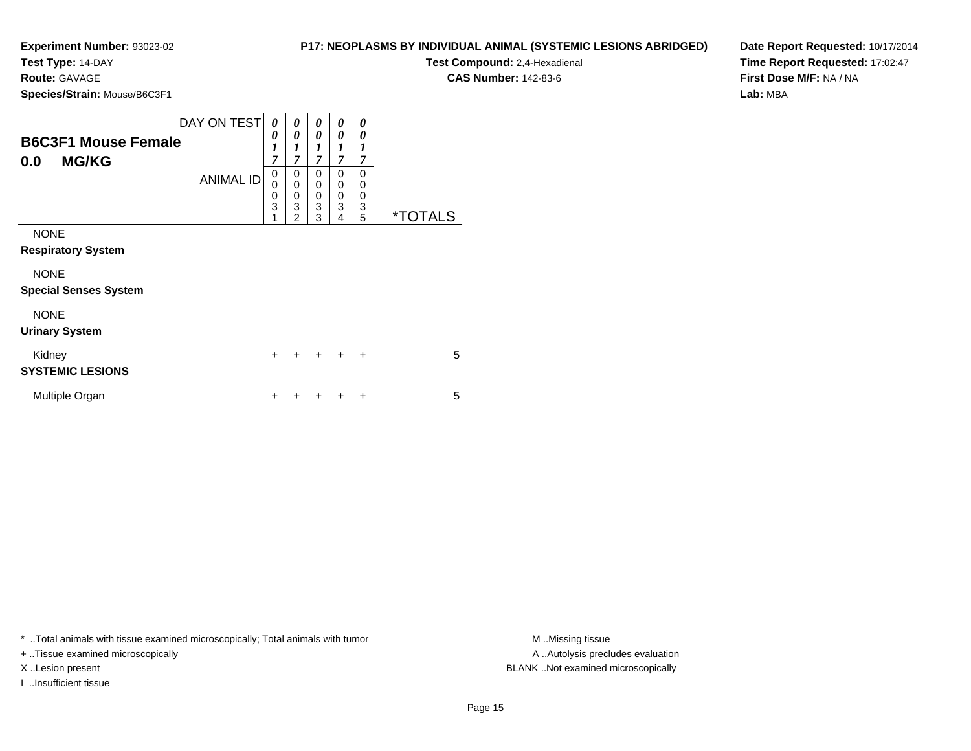**Test Type:** 14-DAY

**Route:** GAVAGE

**Species/Strain:** Mouse/B6C3F1

| <b>P17: NEOPLASMS BY INDIVIDUAL ANIMAL (SYSTEMIC LESIONS ABRIDGED)</b> |  |
|------------------------------------------------------------------------|--|
|------------------------------------------------------------------------|--|

**Test Compound:** 2,4-Hexadienal **CAS Number:** 142-83-6

**Date Report Requested:** 10/17/2014**Time Report Requested:** 17:02:47**First Dose M/F:** NA / NA**Lab:** MBA

| <b>B6C3F1 Mouse Female</b><br><b>MG/KG</b><br>0.0                                       | DAY ON TEST<br><b>ANIMAL ID</b> | 0<br>0<br>$\boldsymbol{l}$<br>7<br>0<br>$\mathbf 0$<br>$\frac{0}{3}$<br>1 | 0<br>0<br>1<br>$\overline{7}$<br>0<br>$\mathbf 0$<br>$\mathbf 0$<br>3<br>$\mathfrak{p}$ | 0<br>0<br>1<br>$\overline{7}$<br>0<br>$\mathbf 0$<br>$\mathbf 0$<br>3<br>3 | 0<br>0<br>1<br>$\overline{7}$<br>0<br>0<br>0<br>3<br>4 | 0<br>0<br>$\boldsymbol{l}$<br>$\overline{7}$<br>$\Omega$<br>0<br>0<br>3<br>5 | <i><b>*TOTALS</b></i> |
|-----------------------------------------------------------------------------------------|---------------------------------|---------------------------------------------------------------------------|-----------------------------------------------------------------------------------------|----------------------------------------------------------------------------|--------------------------------------------------------|------------------------------------------------------------------------------|-----------------------|
| <b>NONE</b><br><b>Respiratory System</b><br><b>NONE</b><br><b>Special Senses System</b> |                                 |                                                                           |                                                                                         |                                                                            |                                                        |                                                                              |                       |
| <b>NONE</b><br><b>Urinary System</b>                                                    |                                 |                                                                           |                                                                                         |                                                                            |                                                        |                                                                              |                       |
| Kidney<br><b>SYSTEMIC LESIONS</b>                                                       |                                 | $\ddot{}$                                                                 | +                                                                                       | $\ddot{}$                                                                  | $\div$                                                 | $\ddot{}$                                                                    | 5                     |
| Multiple Organ                                                                          |                                 | +                                                                         |                                                                                         |                                                                            |                                                        | ÷                                                                            | 5                     |

\* ..Total animals with tissue examined microscopically; Total animals with tumor **M** ..Missing tissue M ..Missing tissue

+ ..Tissue examined microscopically

I ..Insufficient tissue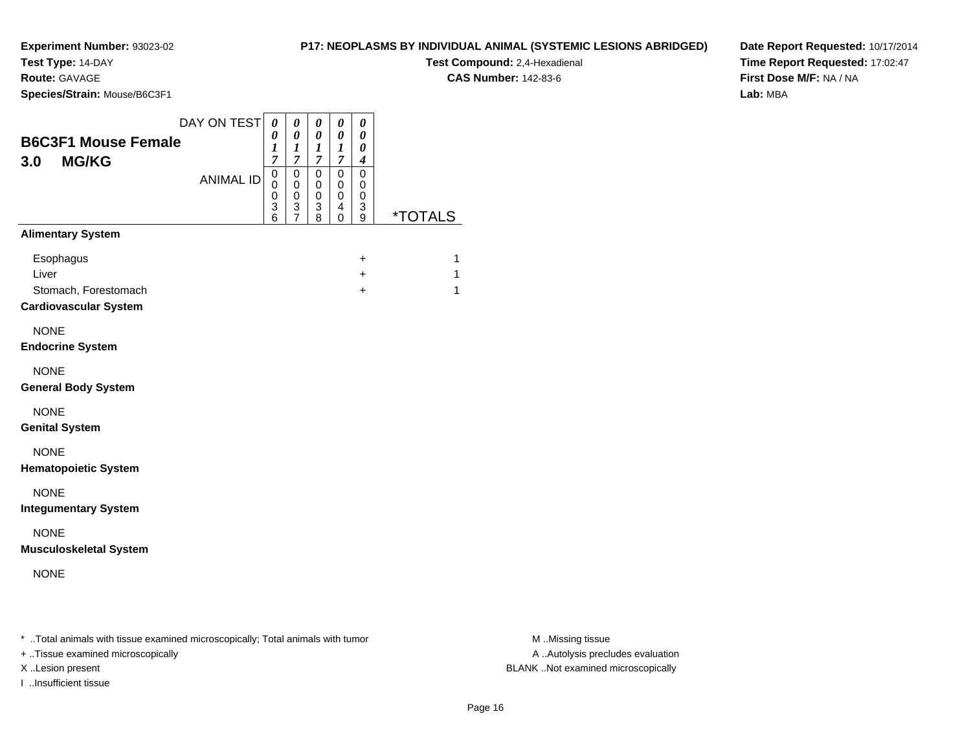**Test Type:** 14-DAY

**Route:** GAVAGE

**Species/Strain:** Mouse/B6C3F1

**Test Compound:** 2,4-Hexadienal

**CAS Number:** 142-83-6

**Date Report Requested:** 10/17/2014**Time Report Requested:** 17:02:47**First Dose M/F:** NA / NA**Lab:** MBA

| <b>B6C3F1 Mouse Female</b><br><b>MG/KG</b><br>3.0                          | DAY ON TEST      | $\pmb{\theta}$<br>0<br>1<br>$\overline{7}$<br>$\mathsf 0$ | 0<br>0<br>1<br>$\overline{7}$<br>0  | 0<br>0<br>$\bm{l}$<br>$\overline{7}$<br>0 | 0<br>0<br>1<br>$\overline{7}$<br>0 | 0<br>0<br>0<br>$\boldsymbol{4}$<br>$\mathbf 0$ |                       |
|----------------------------------------------------------------------------|------------------|-----------------------------------------------------------|-------------------------------------|-------------------------------------------|------------------------------------|------------------------------------------------|-----------------------|
|                                                                            | <b>ANIMAL ID</b> | 0<br>$\boldsymbol{0}$<br>3<br>6                           | 0<br>$\,0\,$<br>3<br>$\overline{7}$ | 0<br>$\pmb{0}$<br>3<br>8                  | 0<br>0<br>4<br>0                   | 0<br>0<br>3<br>9                               | <i><b>*TOTALS</b></i> |
| <b>Alimentary System</b>                                                   |                  |                                                           |                                     |                                           |                                    |                                                |                       |
| Esophagus<br>Liver<br>Stomach, Forestomach<br><b>Cardiovascular System</b> |                  |                                                           |                                     |                                           |                                    | $\ddot{}$<br>$+$<br>$\ddot{}$                  | 1<br>1<br>1           |
| <b>NONE</b><br><b>Endocrine System</b>                                     |                  |                                                           |                                     |                                           |                                    |                                                |                       |
| <b>NONE</b><br><b>General Body System</b>                                  |                  |                                                           |                                     |                                           |                                    |                                                |                       |
| <b>NONE</b><br><b>Genital System</b>                                       |                  |                                                           |                                     |                                           |                                    |                                                |                       |
| <b>NONE</b><br><b>Hematopoietic System</b>                                 |                  |                                                           |                                     |                                           |                                    |                                                |                       |
| <b>NONE</b><br><b>Integumentary System</b>                                 |                  |                                                           |                                     |                                           |                                    |                                                |                       |
| <b>NONE</b><br><b>Musculoskeletal System</b>                               |                  |                                                           |                                     |                                           |                                    |                                                |                       |
| <b>NONE</b>                                                                |                  |                                                           |                                     |                                           |                                    |                                                |                       |
|                                                                            |                  |                                                           |                                     |                                           |                                    |                                                |                       |

\* ..Total animals with tissue examined microscopically; Total animals with tumor **M** . Missing tissue M ..Missing tissue

+ ..Tissue examined microscopically

I ..Insufficient tissue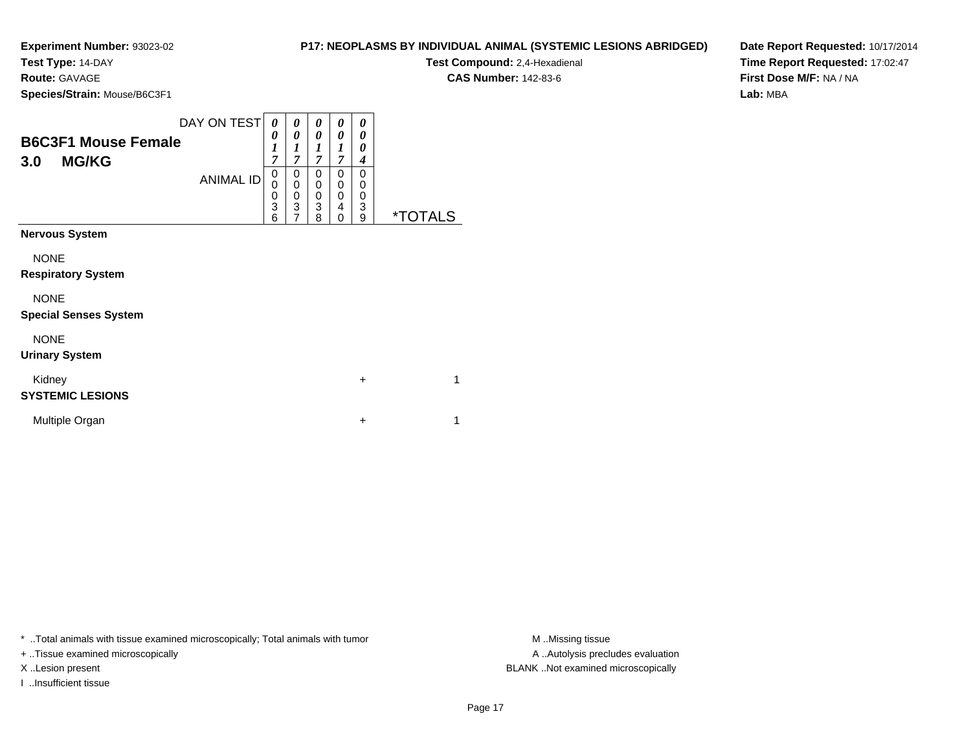**Test Type:** 14-DAY

| <b>Route: GAVAGE</b>                              |                  |                            |                                                |                            |                                 |                            | <b>CAS Number: 142-83-6</b> |
|---------------------------------------------------|------------------|----------------------------|------------------------------------------------|----------------------------|---------------------------------|----------------------------|-----------------------------|
| Species/Strain: Mouse/B6C3F1                      |                  |                            |                                                |                            |                                 |                            |                             |
| <b>B6C3F1 Mouse Female</b><br><b>MG/KG</b><br>3.0 | DAY ON TEST      | $\boldsymbol{\theta}$<br>7 | $\boldsymbol{\theta}$<br>$\boldsymbol{\theta}$ | $\boldsymbol{\theta}$<br>0 | $\boldsymbol{\theta}$<br>0<br>7 | $\boldsymbol{\theta}$<br>0 |                             |
|                                                   | <b>ANIMAL ID</b> | 0<br>3<br>6                | 0<br>0<br>3                                    | 0<br>0<br>0<br>3<br>8      | 0<br>0<br>0<br>4<br>0           | 0<br>3<br>9                |                             |

**Nervous System**NONE **Respiratory System**NONE **Special Senses System**NONE **Urinary System**Kidney $\mathsf y$  $+$  1 **SYSTEMIC LESIONS**Multiple Organn  $+$  $+$  1

\* ..Total animals with tissue examined microscopically; Total animals with tumor **M** ..Missing tissue M ..Missing tissue

+ ..Tissue examined microscopically

I ..Insufficient tissue

A .. Autolysis precludes evaluation X ..Lesion present BLANK ..Not examined microscopically

**P17: NEOPLASMS BY INDIVIDUAL ANIMAL (SYSTEMIC LESIONS ABRIDGED)Test Compound:** 2,4-Hexadienal

**Date Report Requested:** 10/17/2014**Time Report Requested:** 17:02:47**First Dose M/F:** NA / NA**Lab:** MBA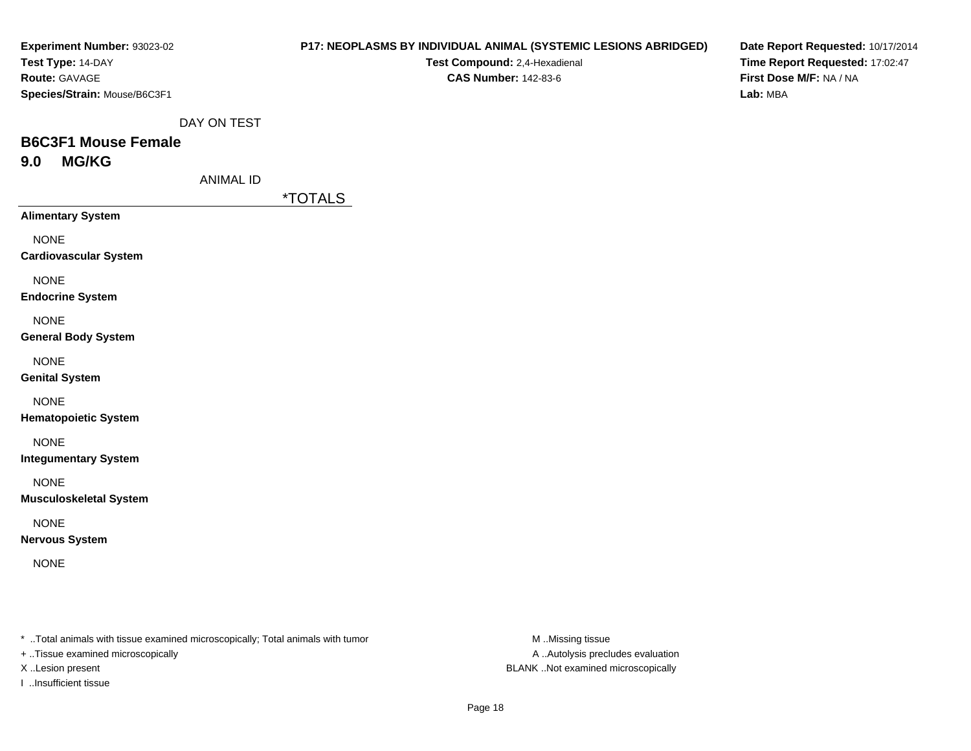| Experiment Number: 93023-02  |
|------------------------------|
| Test Type: 14-DAY            |
| <b>Route:</b> GAVAGE         |
| Species/Strain: Mouse/B6C3F1 |

#### **P17: NEOPLASMS BY INDIVIDUAL ANIMAL (SYSTEMIC LESIONS ABRIDGED)**

**Test Compound:** 2,4-Hexadienal **CAS Number:** 142-83-6

**Date Report Requested:** 10/17/2014**Time Report Requested:** 17:02:47**First Dose M/F:** NA / NA**Lab:** MBA

DAY ON TEST

# **B6C3F1 Mouse Female9.0 MG/KG**

ANIMAL ID

\*TOTALS

**Alimentary System**

NONE

**Cardiovascular System**

NONE

**Endocrine System**

NONE

**General Body System**

NONE

**Genital System**

NONE

**Hematopoietic System**

NONE

**Integumentary System**

NONE

**Musculoskeletal System**

NONE

**Nervous System**

NONE

\* ..Total animals with tissue examined microscopically; Total animals with tumor **M** ..Missing tissue M ..Missing tissue

+ ..Tissue examined microscopically

I ..Insufficient tissue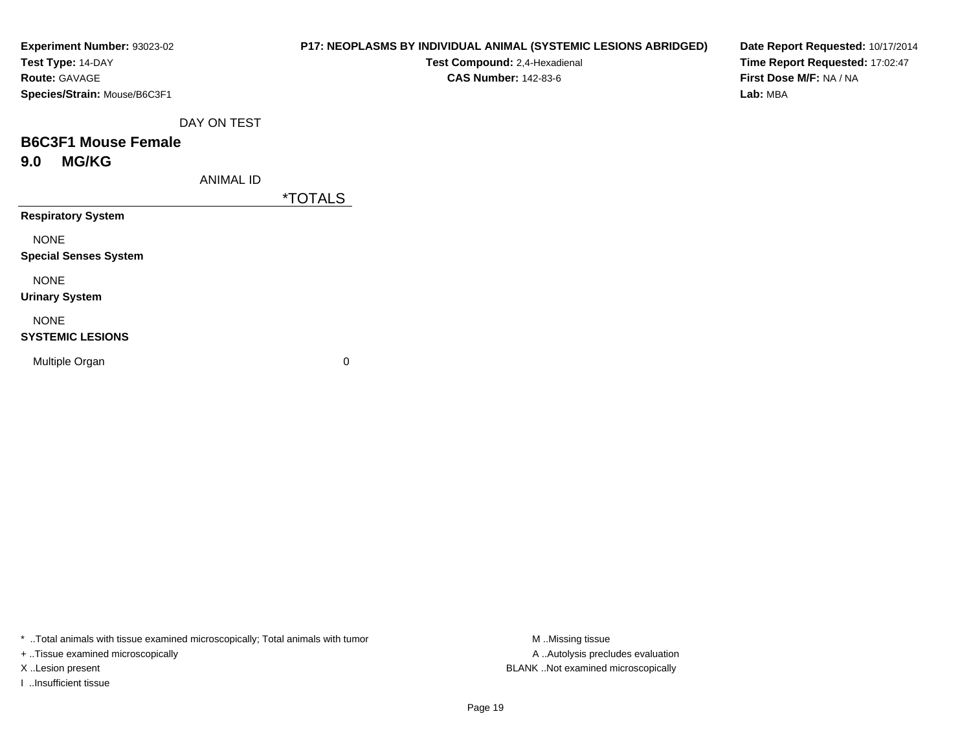| Experiment Number: 93023-02  | <b>P17: NEOPLASMS BY INDIVIDU</b> |                       |  |
|------------------------------|-----------------------------------|-----------------------|--|
| Test Type: 14-DAY            |                                   | <b>Test Co</b>        |  |
| <b>Route: GAVAGE</b>         |                                   | <b>CAS</b>            |  |
| Species/Strain: Mouse/B6C3F1 |                                   |                       |  |
|                              | DAY ON TEST                       |                       |  |
| <b>B6C3F1 Mouse Female</b>   |                                   |                       |  |
| <b>MG/KG</b><br>9.0          |                                   |                       |  |
|                              | <b>ANIMAL ID</b>                  |                       |  |
|                              |                                   | <i><b>*TOTALS</b></i> |  |
| <b>Respiratory System</b>    |                                   |                       |  |
| <b>NONE</b>                  |                                   |                       |  |
| <b>Special Senses System</b> |                                   |                       |  |

NONE

**Urinary System**

NONE

#### **SYSTEMIC LESIONS**

Multiple Organ

 $\mathbf n$  0

\* ..Total animals with tissue examined microscopically; Total animals with tumor **M** . Missing tissue M ..Missing tissue

+ ..Tissue examined microscopically

I ..Insufficient tissue

**PAL ANIMAL (SYSTEMIC LESIONS ABRIDGED)** 

**mpound:** 2,4-Hexadienal **CAS Number:** 142-83-6

**Date Report Requested:** 10/17/2014**Time Report Requested:** 17:02:47**First Dose M/F:** NA / NA**Lab:** MBA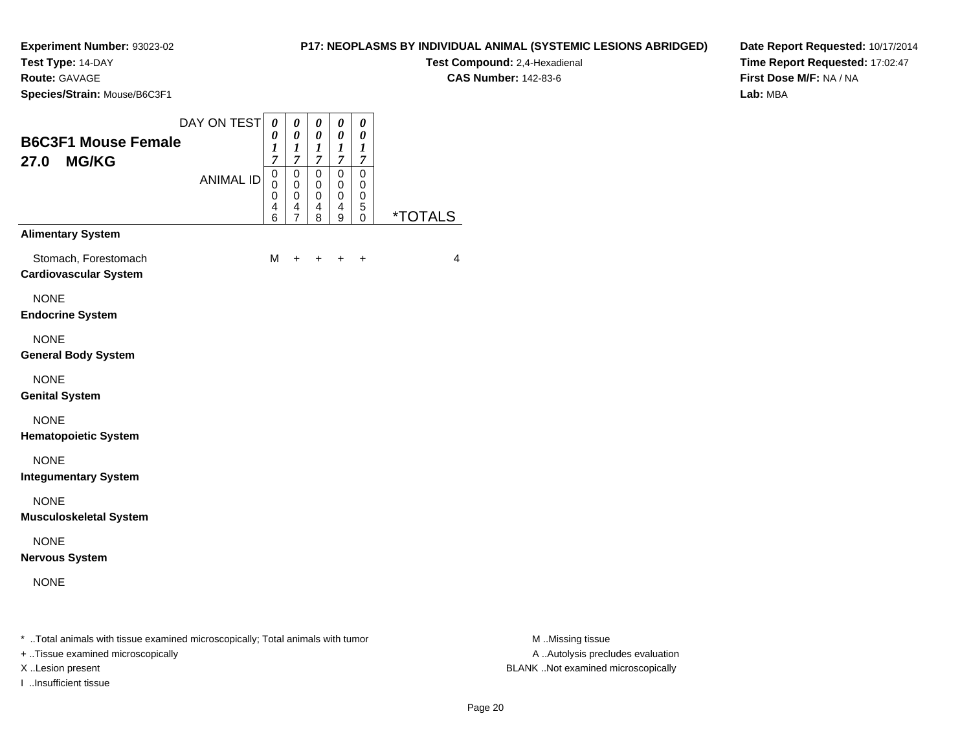**Test Type:** 14-DAY

**Route:** GAVAGE

**Species/Strain:** Mouse/B6C3F1

**Test Compound:** 2,4-Hexadienal **CAS Number:** 142-83-6

**Date Report Requested:** 10/17/2014**Time Report Requested:** 17:02:47**First Dose M/F:** NA / NA**Lab:** MBA

| <b>B6C3F1 Mouse Female</b><br><b>MG/KG</b><br>27.0   | DAY ON TEST<br><b>ANIMAL ID</b> | 0<br>0<br>1<br>$\overline{7}$<br>0<br>0<br>0<br>4<br>6 | 0<br>$\boldsymbol{\theta}$<br>$\boldsymbol{l}$<br>$\overline{7}$<br>$\mathbf 0$<br>0<br>0<br>4<br>$\overline{7}$ | 0<br>0<br>$\boldsymbol{l}$<br>$\overline{7}$<br>$\mathbf 0$<br>0<br>0<br>4<br>8 | $\boldsymbol{\theta}$<br>$\boldsymbol{\theta}$<br>1<br>$\overline{7}$<br>$\mathbf 0$<br>0<br>$\mathbf 0$<br>4<br>9 | 0<br>$\boldsymbol{\theta}$<br>1<br>$\overline{7}$<br>$\mathbf 0$<br>0<br>$\pmb{0}$<br>5<br>$\Omega$ | <i><b>*TOTALS</b></i> |
|------------------------------------------------------|---------------------------------|--------------------------------------------------------|------------------------------------------------------------------------------------------------------------------|---------------------------------------------------------------------------------|--------------------------------------------------------------------------------------------------------------------|-----------------------------------------------------------------------------------------------------|-----------------------|
| <b>Alimentary System</b>                             |                                 |                                                        |                                                                                                                  |                                                                                 |                                                                                                                    |                                                                                                     |                       |
| Stomach, Forestomach<br><b>Cardiovascular System</b> |                                 | M                                                      | $\div$                                                                                                           | +                                                                               | $\div$                                                                                                             | $\ddot{}$                                                                                           | 4                     |
| <b>NONE</b><br><b>Endocrine System</b>               |                                 |                                                        |                                                                                                                  |                                                                                 |                                                                                                                    |                                                                                                     |                       |
| <b>NONE</b><br><b>General Body System</b>            |                                 |                                                        |                                                                                                                  |                                                                                 |                                                                                                                    |                                                                                                     |                       |
| <b>NONE</b><br><b>Genital System</b>                 |                                 |                                                        |                                                                                                                  |                                                                                 |                                                                                                                    |                                                                                                     |                       |
| <b>NONE</b><br><b>Hematopoietic System</b>           |                                 |                                                        |                                                                                                                  |                                                                                 |                                                                                                                    |                                                                                                     |                       |
| <b>NONE</b><br><b>Integumentary System</b>           |                                 |                                                        |                                                                                                                  |                                                                                 |                                                                                                                    |                                                                                                     |                       |
| <b>NONE</b><br><b>Musculoskeletal System</b>         |                                 |                                                        |                                                                                                                  |                                                                                 |                                                                                                                    |                                                                                                     |                       |
| <b>NONE</b><br><b>Nervous System</b>                 |                                 |                                                        |                                                                                                                  |                                                                                 |                                                                                                                    |                                                                                                     |                       |
| <b>NONE</b>                                          |                                 |                                                        |                                                                                                                  |                                                                                 |                                                                                                                    |                                                                                                     |                       |

\* ..Total animals with tissue examined microscopically; Total animals with tumor **M** . Missing tissue M ..Missing tissue

+ ..Tissue examined microscopically

I ..Insufficient tissue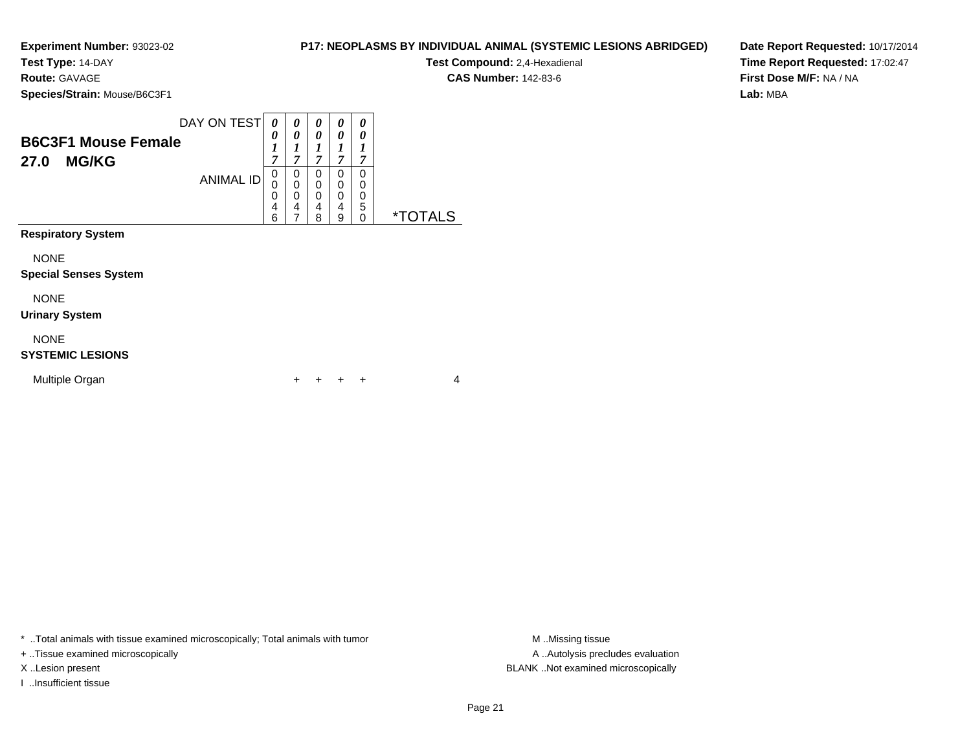**Test Type:** 14-DAY

**Route:** GAVAGE

**Species/Strain:** Mouse/B6C3F1

| <b>B6C3F1 Mouse Female</b> | DAY ON TEST      | $\boldsymbol{\theta}$<br>0<br>1<br>7 | 0<br>0<br>7      | 0<br>0<br>7           | $\theta$<br>0         | 0<br>0<br>7           |             |
|----------------------------|------------------|--------------------------------------|------------------|-----------------------|-----------------------|-----------------------|-------------|
| <b>MG/KG</b><br>27.0       | <b>ANIMAL ID</b> | 0<br>0<br>0<br>4<br>6                | 0<br>0<br>0<br>4 | 0<br>0<br>0<br>4<br>я | 0<br>0<br>0<br>4<br>a | 0<br>0<br>0<br>5<br>U | *TC<br>AI S |
| <b>Respiratory System</b>  |                  |                                      |                  |                       |                       |                       |             |

NONE

#### **Special Senses System**

NONE

**Urinary System**

#### NONE

# **SYSTEMIC LESIONS**

| Multiple Organ |  | + + + + |  |  |  |  |
|----------------|--|---------|--|--|--|--|
|----------------|--|---------|--|--|--|--|

\* ..Total animals with tissue examined microscopically; Total animals with tumor **M** . Missing tissue M ..Missing tissue

+ ..Tissue examined microscopically

I ..Insufficient tissue

**P17: NEOPLASMS BY INDIVIDUAL ANIMAL (SYSTEMIC LESIONS ABRIDGED)**

**Test Compound:** 2,4-Hexadienal

**CAS Number:** 142-83-6

**Date Report Requested:** 10/17/2014**Time Report Requested:** 17:02:47**First Dose M/F:** NA / NA**Lab:** MBA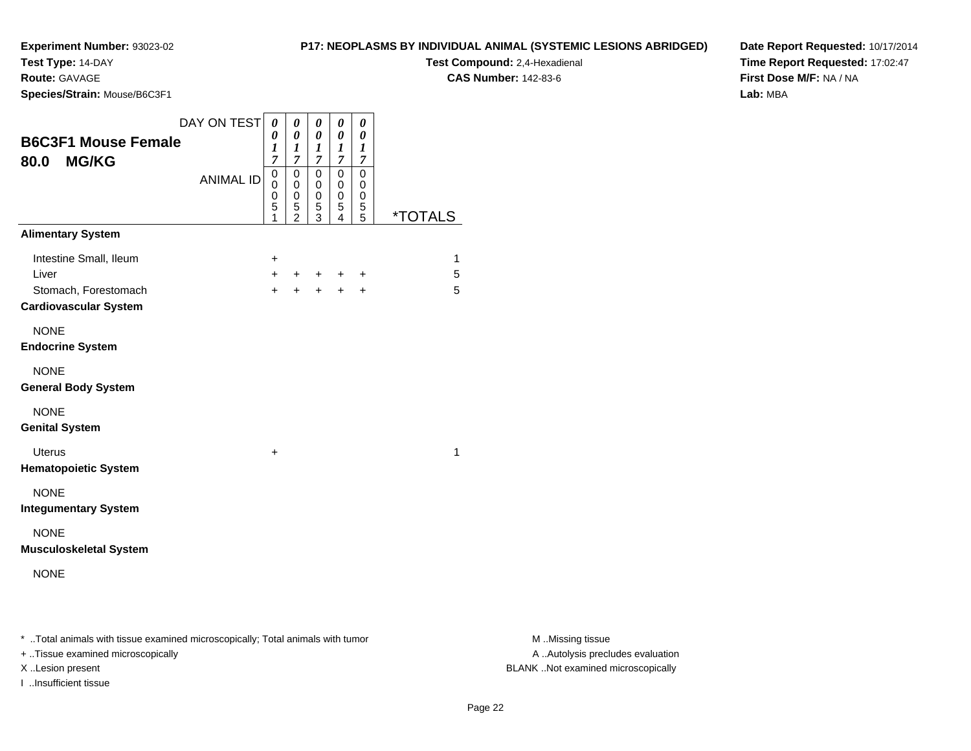**Test Type:** 14-DAY

**Route:** GAVAGE

**Species/Strain:** Mouse/B6C3F1

**Test Compound:** 2,4-Hexadienal **CAS Number:** 142-83-6

**Date Report Requested:** 10/17/2014**Time Report Requested:** 17:02:47**First Dose M/F:** NA / NA**Lab:** MBA

| <b>B6C3F1 Mouse Female</b><br><b>MG/KG</b><br>80.0                                      | DAY ON TEST      | 0<br>0<br>1<br>$\overline{7}$          | 0<br>0<br>$\boldsymbol{l}$<br>$\overline{7}$                   | 0<br>0<br>1<br>$\mathcal{I}$            | 0<br>0<br>$\boldsymbol{l}$<br>$\overline{7}$ | 0<br>$\pmb{\theta}$<br>1<br>$\overline{7}$ |                       |
|-----------------------------------------------------------------------------------------|------------------|----------------------------------------|----------------------------------------------------------------|-----------------------------------------|----------------------------------------------|--------------------------------------------|-----------------------|
|                                                                                         | <b>ANIMAL ID</b> | 0<br>$\Omega$<br>$\mathbf 0$<br>5<br>1 | 0<br>0<br>$\mathsf{O}\xspace$<br>$\mathbf 5$<br>$\mathfrak{p}$ | 0<br>$\mathbf 0$<br>$\pmb{0}$<br>5<br>3 | 0<br>0<br>0<br>5<br>4                        | 0<br>0<br>0<br>5<br>5                      | <i><b>*TOTALS</b></i> |
| <b>Alimentary System</b>                                                                |                  |                                        |                                                                |                                         |                                              |                                            |                       |
| Intestine Small, Ileum<br>Liver<br>Stomach, Forestomach<br><b>Cardiovascular System</b> |                  | $\ddot{}$<br>$+$<br>$+$                | $\pm$<br>$\ddot{}$                                             | $+$<br>$+$                              | ÷<br>$+$                                     | ÷<br>$\ddot{}$                             | 1<br>5<br>5           |
| <b>NONE</b><br><b>Endocrine System</b>                                                  |                  |                                        |                                                                |                                         |                                              |                                            |                       |
| <b>NONE</b><br><b>General Body System</b>                                               |                  |                                        |                                                                |                                         |                                              |                                            |                       |
| <b>NONE</b><br><b>Genital System</b>                                                    |                  |                                        |                                                                |                                         |                                              |                                            |                       |
| Uterus<br><b>Hematopoietic System</b>                                                   |                  | $\ddot{}$                              |                                                                |                                         |                                              |                                            | 1                     |
| <b>NONE</b><br><b>Integumentary System</b>                                              |                  |                                        |                                                                |                                         |                                              |                                            |                       |
| <b>NONE</b><br><b>Musculoskeletal System</b>                                            |                  |                                        |                                                                |                                         |                                              |                                            |                       |
| <b>NONE</b>                                                                             |                  |                                        |                                                                |                                         |                                              |                                            |                       |
|                                                                                         |                  |                                        |                                                                |                                         |                                              |                                            |                       |

\* ..Total animals with tissue examined microscopically; Total animals with tumor **M** . Missing tissue M ..Missing tissue

+ ..Tissue examined microscopically

I ..Insufficient tissue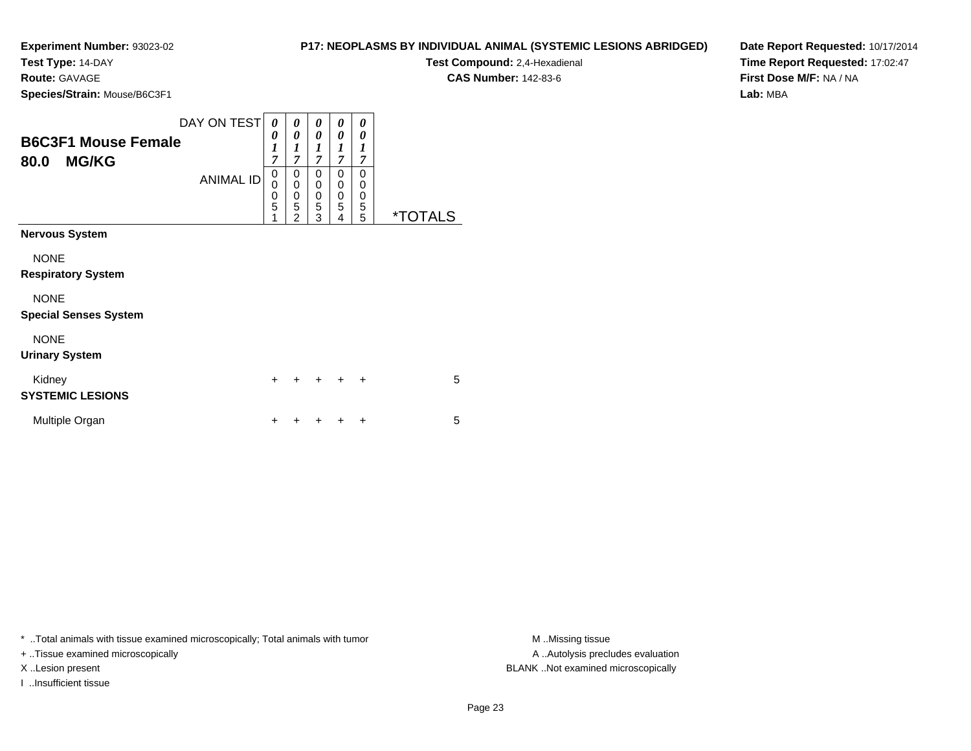**Test Type:** 14-DAY

**Route:** GAVAGE

**Species/Strain:** Mouse/B6C3F1

| <b>P17: NEOPLASMS BY INDIVIDUAL ANIMAL (SYSTEMIC LESIONS ABRIDGED)</b> |
|------------------------------------------------------------------------|
| <b>Test Compound:</b> 2,4-Hexadienal                                   |

**CAS Number:** 142-83-6

**Date Report Requested:** 10/17/2014**Time Report Requested:** 17:02:47**First Dose M/F:** NA / NA**Lab:** MBA

| <b>B6C3F1 Mouse Female</b><br><b>MG/KG</b><br>80.0 | DAY ON TEST<br><b>ANIMAL ID</b> | 0<br>0<br>1<br>$\overline{7}$<br>0<br>0<br>0<br>5<br>1 | 0<br>0<br>1<br>$\overline{7}$<br>0<br>0<br>$\mathbf 0$<br>5<br>$\overline{2}$ | 0<br>0<br>1<br>$\overline{7}$<br>0<br>$\mathbf 0$<br>$\mathbf 0$<br>5<br>3 | 0<br>0<br>1<br>$\overline{7}$<br>0<br>$\mathbf 0$<br>$\mathbf 0$<br>5<br>4 | 0<br>0<br>1<br>7<br>0<br>0<br>0<br>5<br>5 | <i><b>*TOTALS</b></i> |
|----------------------------------------------------|---------------------------------|--------------------------------------------------------|-------------------------------------------------------------------------------|----------------------------------------------------------------------------|----------------------------------------------------------------------------|-------------------------------------------|-----------------------|
| <b>Nervous System</b>                              |                                 |                                                        |                                                                               |                                                                            |                                                                            |                                           |                       |
| <b>NONE</b><br><b>Respiratory System</b>           |                                 |                                                        |                                                                               |                                                                            |                                                                            |                                           |                       |
| <b>NONE</b><br><b>Special Senses System</b>        |                                 |                                                        |                                                                               |                                                                            |                                                                            |                                           |                       |
| <b>NONE</b><br><b>Urinary System</b>               |                                 |                                                        |                                                                               |                                                                            |                                                                            |                                           |                       |
| Kidney<br><b>SYSTEMIC LESIONS</b>                  |                                 | $\div$                                                 | $\ddot{}$                                                                     | $\div$                                                                     | ÷                                                                          | $\ddot{}$                                 | 5                     |
| Multiple Organ                                     |                                 |                                                        |                                                                               |                                                                            |                                                                            | +                                         | 5                     |

\* ..Total animals with tissue examined microscopically; Total animals with tumor **M** . Missing tissue M ..Missing tissue

+ ..Tissue examined microscopically

I ..Insufficient tissue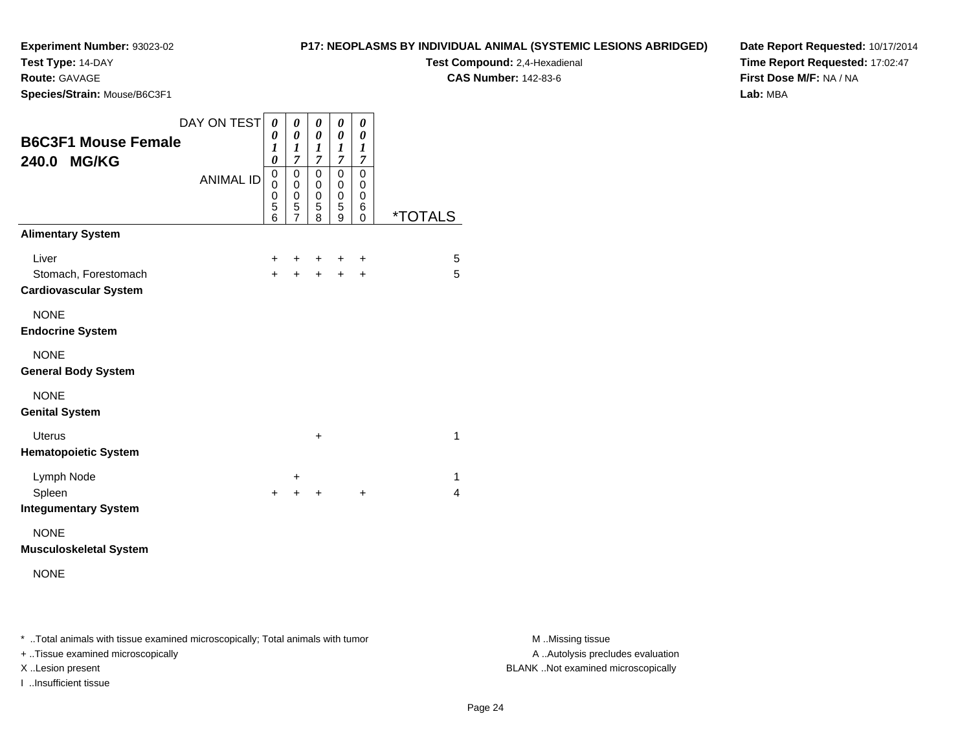**Test Type:** 14-DAY

**Route:** GAVAGE

**Species/Strain:** Mouse/B6C3F1

# **P17: NEOPLASMS BY INDIVIDUAL ANIMAL (SYSTEMIC LESIONS ABRIDGED)**

**Test Compound:** 2,4-Hexadienal **CAS Number:** 142-83-6

**Date Report Requested:** 10/17/2014**Time Report Requested:** 17:02:47**First Dose M/F:** NA / NA**Lab:** MBA

| <b>B6C3F1 Mouse Female</b><br>240.0<br><b>MG/KG</b>                                       | DAY ON TEST<br><b>ANIMAL ID</b> | 0<br>0<br>1<br>0<br>0<br>0<br>0<br>5<br>6 | 0<br>0<br>$\boldsymbol{l}$<br>$\overline{7}$<br>0<br>0<br>0<br>5<br>7 | 0<br>$\boldsymbol{\theta}$<br>$\boldsymbol{l}$<br>$\overline{7}$<br>0<br>$\mathbf 0$<br>$\mathbf 0$<br>5<br>8 | 0<br>0<br>1<br>$\overline{7}$<br>0<br>0<br>0<br>5<br>9 | 0<br>0<br>1<br>7<br>0<br>0<br>0<br>6<br>0 | <i><b>*TOTALS</b></i> |
|-------------------------------------------------------------------------------------------|---------------------------------|-------------------------------------------|-----------------------------------------------------------------------|---------------------------------------------------------------------------------------------------------------|--------------------------------------------------------|-------------------------------------------|-----------------------|
| <b>Alimentary System</b><br>Liver<br>Stomach, Forestomach<br><b>Cardiovascular System</b> |                                 | +<br>$\ddot{}$                            | ٠<br>$\ddot{}$                                                        | ٠<br>+                                                                                                        | ٠<br>$\ddot{}$                                         | $\ddot{}$<br>+                            | 5<br>5                |
| <b>NONE</b><br><b>Endocrine System</b>                                                    |                                 |                                           |                                                                       |                                                                                                               |                                                        |                                           |                       |
| <b>NONE</b><br><b>General Body System</b>                                                 |                                 |                                           |                                                                       |                                                                                                               |                                                        |                                           |                       |
| <b>NONE</b><br><b>Genital System</b>                                                      |                                 |                                           |                                                                       |                                                                                                               |                                                        |                                           |                       |
| <b>Uterus</b><br><b>Hematopoietic System</b>                                              |                                 |                                           |                                                                       | +                                                                                                             |                                                        |                                           | 1                     |
| Lymph Node<br>Spleen<br><b>Integumentary System</b>                                       |                                 | $\ddot{}$                                 | +<br>+                                                                | +                                                                                                             |                                                        | $\ddot{}$                                 | 1<br>4                |
| <b>NONE</b>                                                                               |                                 |                                           |                                                                       |                                                                                                               |                                                        |                                           |                       |

**Musculoskeletal System**

NONE

\* ..Total animals with tissue examined microscopically; Total animals with tumor **M** . Missing tissue M ..Missing tissue

+ ..Tissue examined microscopically

I ..Insufficient tissue